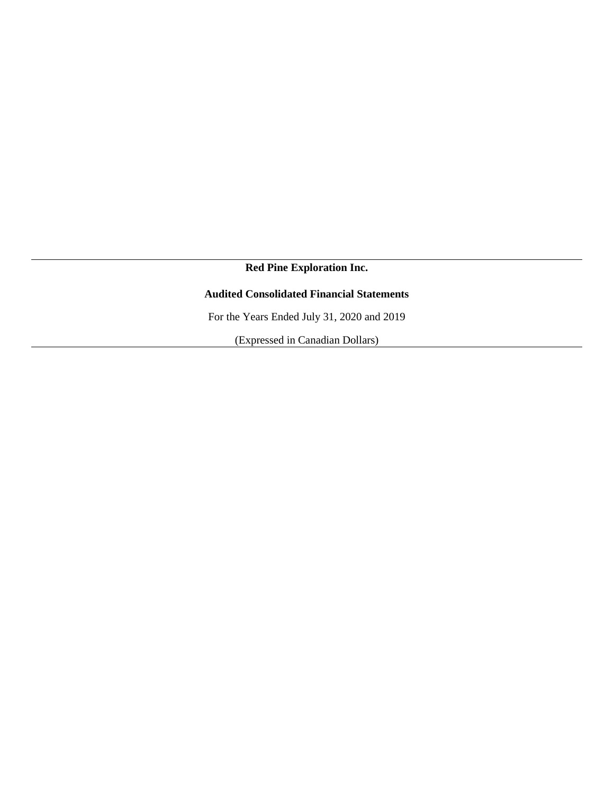# **Red Pine Exploration Inc.**

# **Audited Consolidated Financial Statements**

For the Years Ended July 31, 2020 and 2019

(Expressed in Canadian Dollars)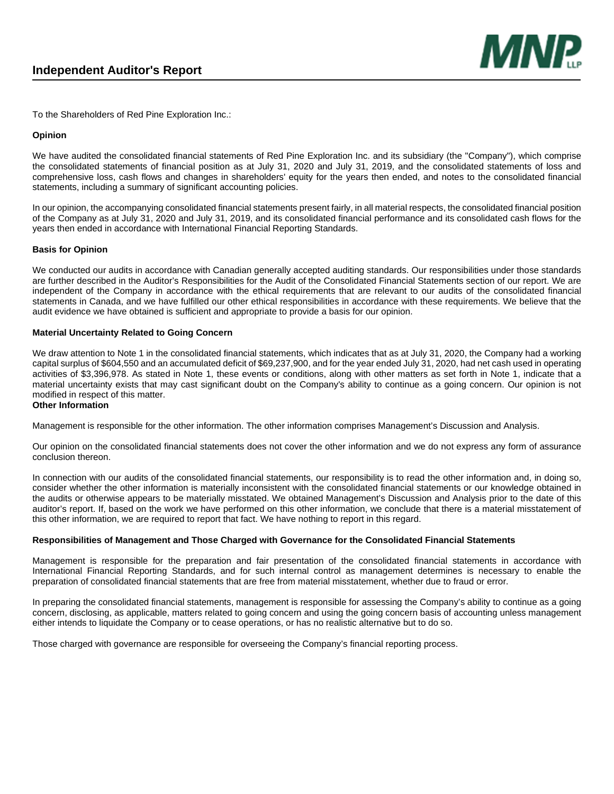

To the Shareholders of Red Pine Exploration Inc.:

#### **Opinion**

We have audited the consolidated financial statements of Red Pine Exploration Inc. and its subsidiary (the "Company"), which comprise the consolidated statements of financial position as at July 31, 2020 and July 31, 2019, and the consolidated statements of loss and comprehensive loss, cash flows and changes in shareholders' equity for the years then ended, and notes to the consolidated financial statements, including a summary of significant accounting policies.

In our opinion, the accompanying consolidated financial statements present fairly, in all material respects, the consolidated financial position of the Company as at July 31, 2020 and July 31, 2019, and its consolidated financial performance and its consolidated cash flows for the years then ended in accordance with International Financial Reporting Standards.

#### **Basis for Opinion**

We conducted our audits in accordance with Canadian generally accepted auditing standards. Our responsibilities under those standards are further described in the Auditor's Responsibilities for the Audit of the Consolidated Financial Statements section of our report. We are independent of the Company in accordance with the ethical requirements that are relevant to our audits of the consolidated financial statements in Canada, and we have fulfilled our other ethical responsibilities in accordance with these requirements. We believe that the audit evidence we have obtained is sufficient and appropriate to provide a basis for our opinion.

#### **Material Uncertainty Related to Going Concern**

We draw attention to Note 1 in the consolidated financial statements, which indicates that as at July 31, 2020, the Company had a working capital surplus of \$604,550 and an accumulated deficit of \$69,237,900, and for the year ended July 31, 2020, had net cash used in operating activities of \$3,396,978. As stated in Note 1, these events or conditions, along with other matters as set forth in Note 1, indicate that a material uncertainty exists that may cast significant doubt on the Company's ability to continue as a going concern. Our opinion is not modified in respect of this matter.

#### **Other Information**

Management is responsible for the other information. The other information comprises Management's Discussion and Analysis.

Our opinion on the consolidated financial statements does not cover the other information and we do not express any form of assurance conclusion thereon.

In connection with our audits of the consolidated financial statements, our responsibility is to read the other information and, in doing so, consider whether the other information is materially inconsistent with the consolidated financial statements or our knowledge obtained in the audits or otherwise appears to be materially misstated. We obtained Management's Discussion and Analysis prior to the date of this auditor's report. If, based on the work we have performed on this other information, we conclude that there is a material misstatement of this other information, we are required to report that fact. We have nothing to report in this regard.

#### **Responsibilities of Management and Those Charged with Governance for the Consolidated Financial Statements**

Management is responsible for the preparation and fair presentation of the consolidated financial statements in accordance with International Financial Reporting Standards, and for such internal control as management determines is necessary to enable the preparation of consolidated financial statements that are free from material misstatement, whether due to fraud or error.

In preparing the consolidated financial statements, management is responsible for assessing the Company's ability to continue as a going concern, disclosing, as applicable, matters related to going concern and using the going concern basis of accounting unless management either intends to liquidate the Company or to cease operations, or has no realistic alternative but to do so.

Those charged with governance are responsible for overseeing the Company's financial reporting process.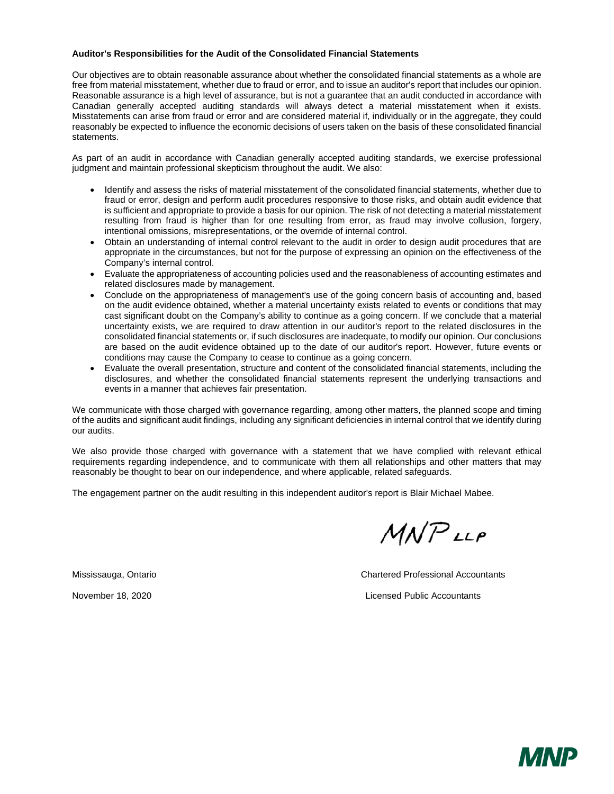#### **Auditor's Responsibilities for the Audit of the Consolidated Financial Statements**

Our objectives are to obtain reasonable assurance about whether the consolidated financial statements as a whole are free from material misstatement, whether due to fraud or error, and to issue an auditor's report that includes our opinion. Reasonable assurance is a high level of assurance, but is not a guarantee that an audit conducted in accordance with Canadian generally accepted auditing standards will always detect a material misstatement when it exists. Misstatements can arise from fraud or error and are considered material if, individually or in the aggregate, they could reasonably be expected to influence the economic decisions of users taken on the basis of these consolidated financial statements.

As part of an audit in accordance with Canadian generally accepted auditing standards, we exercise professional judgment and maintain professional skepticism throughout the audit. We also:

- Identify and assess the risks of material misstatement of the consolidated financial statements, whether due to fraud or error, design and perform audit procedures responsive to those risks, and obtain audit evidence that is sufficient and appropriate to provide a basis for our opinion. The risk of not detecting a material misstatement resulting from fraud is higher than for one resulting from error, as fraud may involve collusion, forgery, intentional omissions, misrepresentations, or the override of internal control.
- Obtain an understanding of internal control relevant to the audit in order to design audit procedures that are appropriate in the circumstances, but not for the purpose of expressing an opinion on the effectiveness of the Company's internal control.
- Evaluate the appropriateness of accounting policies used and the reasonableness of accounting estimates and related disclosures made by management.
- Conclude on the appropriateness of management's use of the going concern basis of accounting and, based on the audit evidence obtained, whether a material uncertainty exists related to events or conditions that may cast significant doubt on the Company's ability to continue as a going concern. If we conclude that a material uncertainty exists, we are required to draw attention in our auditor's report to the related disclosures in the consolidated financial statements or, if such disclosures are inadequate, to modify our opinion. Our conclusions are based on the audit evidence obtained up to the date of our auditor's report. However, future events or conditions may cause the Company to cease to continue as a going concern.
- Evaluate the overall presentation, structure and content of the consolidated financial statements, including the disclosures, and whether the consolidated financial statements represent the underlying transactions and events in a manner that achieves fair presentation.

We communicate with those charged with governance regarding, among other matters, the planned scope and timing of the audits and significant audit findings, including any significant deficiencies in internal control that we identify during our audits.

We also provide those charged with governance with a statement that we have complied with relevant ethical requirements regarding independence, and to communicate with them all relationships and other matters that may reasonably be thought to bear on our independence, and where applicable, related safeguards.

The engagement partner on the audit resulting in this independent auditor's report is Blair Michael Mabee.

 $M N P$ <sub>LLP</sub>

Mississauga, Ontario Chartered Professional Accountants

November 18, 2020 Licensed Public Accountants

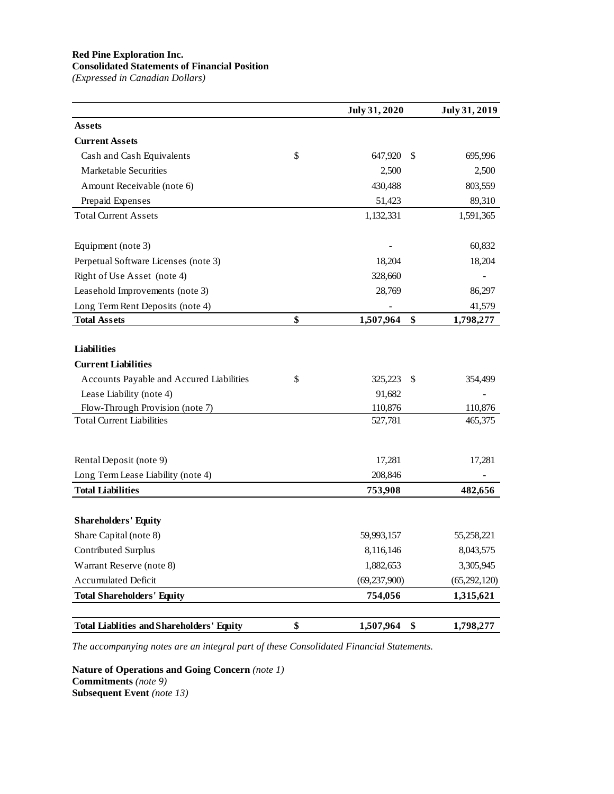# **Red Pine Exploration Inc.**

# **Consolidated Statements of Financial Position**

*(Expressed in Canadian Dollars)* 

|                                                  | July 31, 2020   | July 31, 2019   |
|--------------------------------------------------|-----------------|-----------------|
| <b>Assets</b>                                    |                 |                 |
| <b>Current Assets</b>                            |                 |                 |
| Cash and Cash Equivalents                        | \$<br>647,920   | \$<br>695,996   |
| <b>Marketable Securities</b>                     | 2,500           | 2,500           |
| Amount Receivable (note 6)                       | 430,488         | 803,559         |
| Prepaid Expenses                                 | 51,423          | 89,310          |
| <b>Total Current Assets</b>                      | 1,132,331       | 1,591,365       |
| Equipment (note 3)                               |                 | 60,832          |
| Perpetual Software Licenses (note 3)             | 18,204          | 18,204          |
| Right of Use Asset (note 4)                      | 328,660         |                 |
| Leasehold Improvements (note 3)                  | 28,769          | 86,297          |
| Long Term Rent Deposits (note 4)                 |                 | 41,579          |
| <b>Total Assets</b>                              | \$<br>1,507,964 | \$<br>1,798,277 |
|                                                  |                 |                 |
| Liabilities                                      |                 |                 |
| <b>Current Liabilities</b>                       |                 |                 |
| Accounts Payable and Accured Liabilities         | \$<br>325,223   | \$<br>354,499   |
| Lease Liability (note 4)                         | 91,682          |                 |
| Flow-Through Provision (note 7)                  | 110,876         | 110,876         |
| <b>Total Current Liabilities</b>                 | 527,781         | 465,375         |
| Rental Deposit (note 9)                          | 17,281          | 17,281          |
| Long Term Lease Liability (note 4)               | 208,846         |                 |
| <b>Total Liabilities</b>                         | 753,908         | 482,656         |
|                                                  |                 |                 |
| <b>Shareholders' Equity</b>                      |                 |                 |
| Share Capital (note 8)                           | 59,993,157      | 55,258,221      |
| Contributed Surplus                              | 8,116,146       | 8,043,575       |
| Warrant Reserve (note 8)                         | 1,882,653       | 3,305,945       |
| Accumulated Deficit                              | (69, 237, 900)  | (65,292,120)    |
| <b>Total Shareholders' Equity</b>                | 754,056         | 1,315,621       |
|                                                  |                 |                 |
| <b>Total Liablities and Shareholders' Equity</b> | \$<br>1,507,964 | \$<br>1,798,277 |

*The accompanying notes are an integral part of these Consolidated Financial Statements.*

**Nature of Operations and Going Concern** *(note 1)*  **Commitments** *(note 9)*  **Subsequent Event** *(note 13)*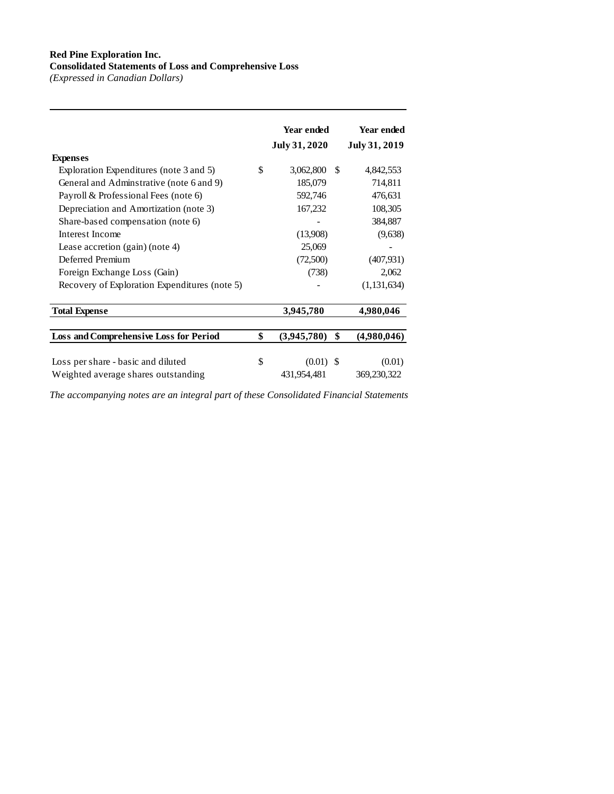# **Red Pine Exploration Inc. Consolidated Statements of Loss and Comprehensive Loss**

*(Expressed in Canadian Dollars)* 

|                                               | Year ended        |      | Year ended    |
|-----------------------------------------------|-------------------|------|---------------|
|                                               | July 31, 2020     |      | July 31, 2019 |
| <b>Expenses</b>                               |                   |      |               |
| Exploration Expenditures (note 3 and 5)       | \$<br>3,062,800   | - \$ | 4,842,553     |
| General and Administrative (note 6 and 9)     | 185,079           |      | 714,811       |
| Payroll & Professional Fees (note 6)          | 592,746           |      | 476,631       |
| Depreciation and Amortization (note 3)        | 167,232           |      | 108,305       |
| Share-based compensation (note 6)             |                   |      | 384,887       |
| Interest Income                               | (13,908)          |      | (9,638)       |
| Lease accretion (gain) (note 4)               | 25,069            |      |               |
| Deferred Premium                              | (72,500)          |      | (407, 931)    |
| Foreign Exchange Loss (Gain)                  | (738)             |      | 2,062         |
| Recovery of Exploration Expenditures (note 5) |                   |      | (1, 131, 634) |
| <b>Total Expense</b>                          | 3,945,780         |      | 4,980,046     |
| <b>Loss and Comprehensive Loss for Period</b> | \$<br>(3,945,780) | \$   | (4,980,046)   |
| Loss per share - basic and diluted            | \$<br>$(0.01)$ \$ |      | (0.01)        |
| Weighted average shares outstanding           | 431,954,481       |      | 369,230,322   |

*The accompanying notes are an integral part of these Consolidated Financial Statements*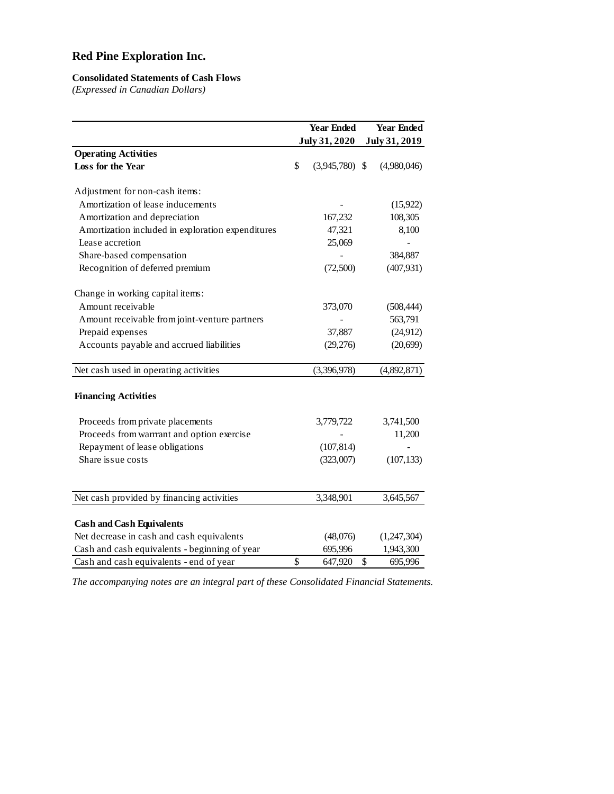# **Red Pine Exploration Inc.**

# **Consolidated Statements of Cash Flows**

*(Expressed in Canadian Dollars)* 

|                                                   | <b>Year Ended</b>      | <b>Year Ended</b> |
|---------------------------------------------------|------------------------|-------------------|
|                                                   | July 31, 2020          | July 31, 2019     |
| <b>Operating Activities</b>                       |                        |                   |
| Loss for the Year                                 | \$<br>$(3,945,780)$ \$ | (4,980,046)       |
| Adjustment for non-cash items:                    |                        |                   |
| Amortization of lease inducements                 |                        | (15, 922)         |
| Amortization and depreciation                     | 167,232                | 108,305           |
| Amortization included in exploration expenditures | 47,321                 | 8,100             |
| Lease accretion                                   | 25,069                 |                   |
| Share-based compensation                          |                        | 384,887           |
| Recognition of deferred premium                   | (72,500)               | (407, 931)        |
| Change in working capital items:                  |                        |                   |
| Amount receivable                                 | 373,070                | (508, 444)        |
| Amount receivable from joint-venture partners     |                        | 563,791           |
| Prepaid expenses                                  | 37,887                 | (24,912)          |
| Accounts payable and accrued liabilities          | (29,276)               | (20, 699)         |
| Net cash used in operating activities             | (3,396,978)            | (4,892,871)       |
| <b>Financing Activities</b>                       |                        |                   |
| Proceeds from private placements                  | 3,779,722              | 3,741,500         |
| Proceeds from warrrant and option exercise        |                        | 11,200            |
| Repayment of lease obligations                    | (107, 814)             |                   |
| Share issue costs                                 | (323,007)              | (107, 133)        |
|                                                   |                        |                   |
| Net cash provided by financing activities         | 3,348,901              | 3,645,567         |
| <b>Cash and Cash Equivalents</b>                  |                        |                   |
| Net decrease in cash and cash equivalents         | (48,076)               | (1,247,304)       |
| Cash and cash equivalents - beginning of year     | 695,996                | 1,943,300         |
| Cash and cash equivalents - end of year           | \$<br>647,920          | \$<br>695,996     |

*The accompanying notes are an integral part of these Consolidated Financial Statements.*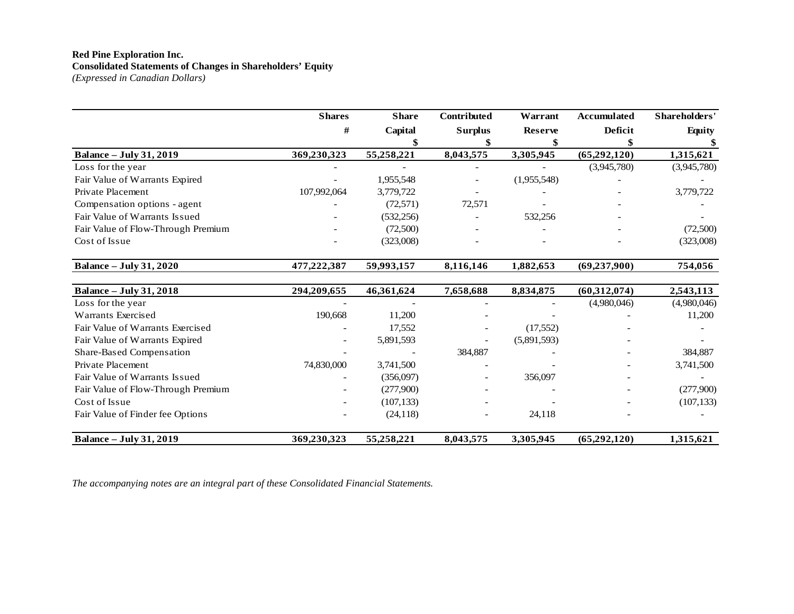# **Red Pine Exploration Inc. Consolidated Statements of Changes in Shareholders' Equity**  *(Expressed in Canadian Dollars)*

|                                    | <b>Shares</b> | <b>Share</b> | Contributed    | Warrant        | <b>Accumulated</b> | Shareholders' |
|------------------------------------|---------------|--------------|----------------|----------------|--------------------|---------------|
|                                    | #             | Capital      | <b>Surplus</b> | <b>Reserve</b> | Deficit            | <b>Equity</b> |
|                                    |               |              |                |                | \$                 |               |
| <b>Balance - July 31, 2019</b>     | 369,230,323   | 55,258,221   | 8,043,575      | 3,305,945      | (65,292,120)       | 1,315,621     |
| Loss for the year                  |               |              |                |                | (3,945,780)        | (3,945,780)   |
| Fair Value of Warrants Expired     |               | 1,955,548    |                | (1,955,548)    |                    |               |
| Private Placement                  | 107,992,064   | 3,779,722    |                |                |                    | 3,779,722     |
| Compensation options - agent       |               | (72, 571)    | 72,571         |                |                    |               |
| Fair Value of Warrants Issued      |               | (532, 256)   |                | 532,256        |                    |               |
| Fair Value of Flow-Through Premium |               | (72,500)     |                |                |                    | (72,500)      |
| Cost of Issue                      |               | (323,008)    |                |                |                    | (323,008)     |
| <b>Balance - July 31, 2020</b>     | 477,222,387   | 59,993,157   | 8,116,146      | 1,882,653      | (69, 237, 900)     | 754,056       |
| <b>Balance - July 31, 2018</b>     | 294,209,655   | 46,361,624   | 7,658,688      | 8,834,875      | (60,312,074)       | 2,543,113     |
| Loss for the year                  |               |              |                |                | (4,980,046)        | (4,980,046)   |
| Warrants Exercised                 | 190,668       | 11,200       |                |                |                    | 11,200        |
| Fair Value of Warrants Exercised   |               | 17,552       |                | (17, 552)      |                    |               |
| Fair Value of Warrants Expired     |               | 5,891,593    |                | (5,891,593)    |                    |               |
| Share-Based Compensation           |               |              | 384,887        |                |                    | 384,887       |
| Private Placement                  | 74,830,000    | 3,741,500    |                |                |                    | 3,741,500     |
| Fair Value of Warrants Issued      |               | (356,097)    |                | 356,097        |                    |               |
| Fair Value of Flow-Through Premium |               | (277,900)    |                |                |                    | (277,900)     |
| Cost of Issue                      |               | (107, 133)   |                |                |                    | (107, 133)    |
| Fair Value of Finder fee Options   |               | (24, 118)    |                | 24,118         |                    |               |
| <b>Balance - July 31, 2019</b>     | 369,230,323   | 55,258,221   | 8,043,575      | 3,305,945      | (65,292,120)       | 1,315,621     |

*The accompanying notes are an integral part of these Consolidated Financial Statements.*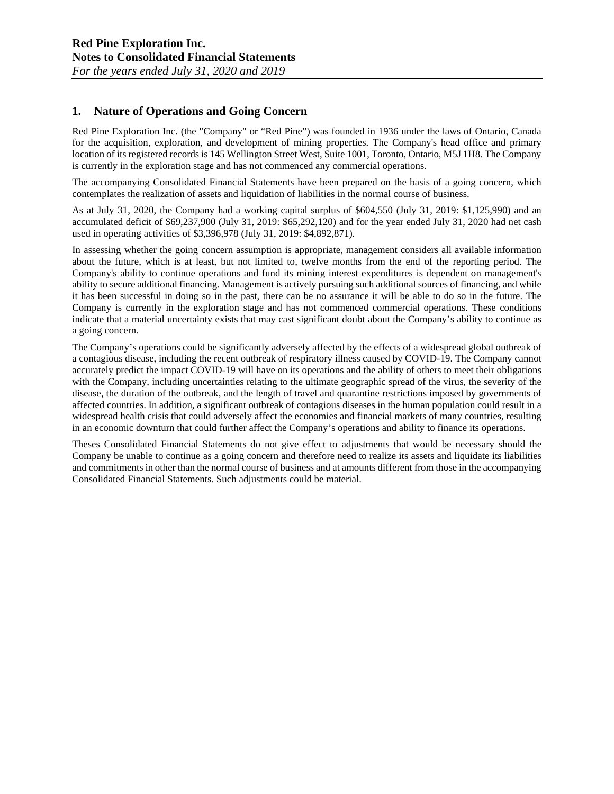# **1. Nature of Operations and Going Concern**

Red Pine Exploration Inc. (the "Company" or "Red Pine") was founded in 1936 under the laws of Ontario, Canada for the acquisition, exploration, and development of mining properties. The Company's head office and primary location of its registered records is 145 Wellington Street West, Suite 1001, Toronto, Ontario, M5J 1H8. The Company is currently in the exploration stage and has not commenced any commercial operations.

The accompanying Consolidated Financial Statements have been prepared on the basis of a going concern, which contemplates the realization of assets and liquidation of liabilities in the normal course of business.

As at July 31, 2020, the Company had a working capital surplus of \$604,550 (July 31, 2019: \$1,125,990) and an accumulated deficit of \$69,237,900 (July 31, 2019: \$65,292,120) and for the year ended July 31, 2020 had net cash used in operating activities of \$3,396,978 (July 31, 2019: \$4,892,871).

In assessing whether the going concern assumption is appropriate, management considers all available information about the future, which is at least, but not limited to, twelve months from the end of the reporting period. The Company's ability to continue operations and fund its mining interest expenditures is dependent on management's ability to secure additional financing. Management is actively pursuing such additional sources of financing, and while it has been successful in doing so in the past, there can be no assurance it will be able to do so in the future. The Company is currently in the exploration stage and has not commenced commercial operations. These conditions indicate that a material uncertainty exists that may cast significant doubt about the Company's ability to continue as a going concern.

The Company's operations could be significantly adversely affected by the effects of a widespread global outbreak of a contagious disease, including the recent outbreak of respiratory illness caused by COVID-19. The Company cannot accurately predict the impact COVID-19 will have on its operations and the ability of others to meet their obligations with the Company, including uncertainties relating to the ultimate geographic spread of the virus, the severity of the disease, the duration of the outbreak, and the length of travel and quarantine restrictions imposed by governments of affected countries. In addition, a significant outbreak of contagious diseases in the human population could result in a widespread health crisis that could adversely affect the economies and financial markets of many countries, resulting in an economic downturn that could further affect the Company's operations and ability to finance its operations.

Theses Consolidated Financial Statements do not give effect to adjustments that would be necessary should the Company be unable to continue as a going concern and therefore need to realize its assets and liquidate its liabilities and commitments in other than the normal course of business and at amounts different from those in the accompanying Consolidated Financial Statements. Such adjustments could be material.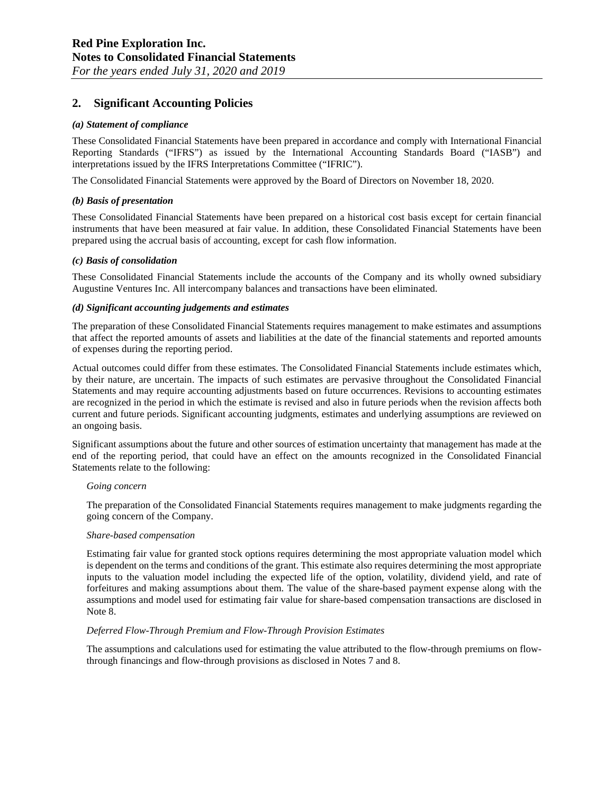# **2. Significant Accounting Policies**

### *(a) Statement of compliance*

These Consolidated Financial Statements have been prepared in accordance and comply with International Financial Reporting Standards ("IFRS") as issued by the International Accounting Standards Board ("IASB") and interpretations issued by the IFRS Interpretations Committee ("IFRIC").

The Consolidated Financial Statements were approved by the Board of Directors on November 18, 2020.

### *(b) Basis of presentation*

These Consolidated Financial Statements have been prepared on a historical cost basis except for certain financial instruments that have been measured at fair value. In addition, these Consolidated Financial Statements have been prepared using the accrual basis of accounting, except for cash flow information.

### *(c) Basis of consolidation*

These Consolidated Financial Statements include the accounts of the Company and its wholly owned subsidiary Augustine Ventures Inc. All intercompany balances and transactions have been eliminated.

### *(d) Significant accounting judgements and estimates*

The preparation of these Consolidated Financial Statements requires management to make estimates and assumptions that affect the reported amounts of assets and liabilities at the date of the financial statements and reported amounts of expenses during the reporting period.

Actual outcomes could differ from these estimates. The Consolidated Financial Statements include estimates which, by their nature, are uncertain. The impacts of such estimates are pervasive throughout the Consolidated Financial Statements and may require accounting adjustments based on future occurrences. Revisions to accounting estimates are recognized in the period in which the estimate is revised and also in future periods when the revision affects both current and future periods. Significant accounting judgments, estimates and underlying assumptions are reviewed on an ongoing basis.

Significant assumptions about the future and other sources of estimation uncertainty that management has made at the end of the reporting period, that could have an effect on the amounts recognized in the Consolidated Financial Statements relate to the following:

#### *Going concern*

The preparation of the Consolidated Financial Statements requires management to make judgments regarding the going concern of the Company.

### *Share-based compensation*

Estimating fair value for granted stock options requires determining the most appropriate valuation model which is dependent on the terms and conditions of the grant. This estimate also requires determining the most appropriate inputs to the valuation model including the expected life of the option, volatility, dividend yield, and rate of forfeitures and making assumptions about them. The value of the share-based payment expense along with the assumptions and model used for estimating fair value for share-based compensation transactions are disclosed in Note 8.

### *Deferred Flow-Through Premium and Flow-Through Provision Estimates*

The assumptions and calculations used for estimating the value attributed to the flow-through premiums on flowthrough financings and flow-through provisions as disclosed in Notes 7 and 8.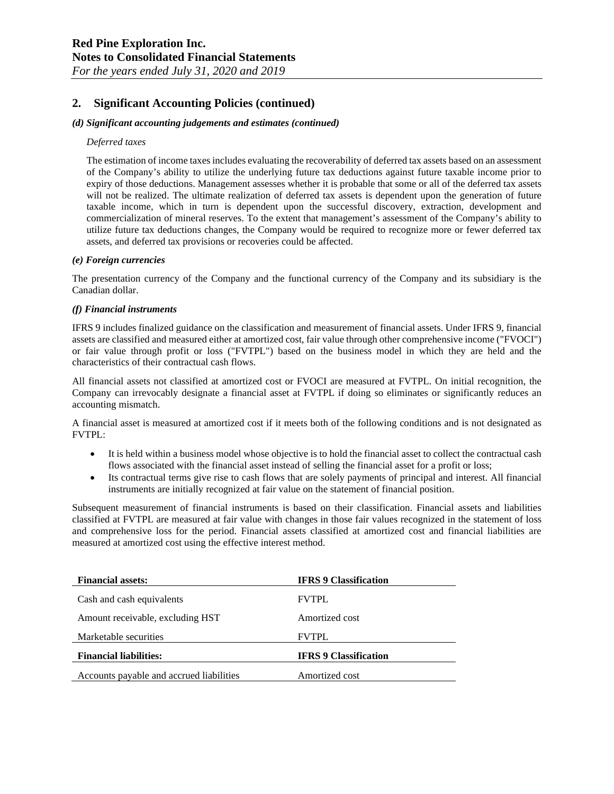### *(d) Significant accounting judgements and estimates (continued)*

### *Deferred taxes*

The estimation of income taxes includes evaluating the recoverability of deferred tax assets based on an assessment of the Company's ability to utilize the underlying future tax deductions against future taxable income prior to expiry of those deductions. Management assesses whether it is probable that some or all of the deferred tax assets will not be realized. The ultimate realization of deferred tax assets is dependent upon the generation of future taxable income, which in turn is dependent upon the successful discovery, extraction, development and commercialization of mineral reserves. To the extent that management's assessment of the Company's ability to utilize future tax deductions changes, the Company would be required to recognize more or fewer deferred tax assets, and deferred tax provisions or recoveries could be affected.

### *(e) Foreign currencies*

The presentation currency of the Company and the functional currency of the Company and its subsidiary is the Canadian dollar.

### *(f) Financial instruments*

IFRS 9 includes finalized guidance on the classification and measurement of financial assets. Under IFRS 9, financial assets are classified and measured either at amortized cost, fair value through other comprehensive income ("FVOCI") or fair value through profit or loss ("FVTPL") based on the business model in which they are held and the characteristics of their contractual cash flows.

All financial assets not classified at amortized cost or FVOCI are measured at FVTPL. On initial recognition, the Company can irrevocably designate a financial asset at FVTPL if doing so eliminates or significantly reduces an accounting mismatch.

A financial asset is measured at amortized cost if it meets both of the following conditions and is not designated as FVTPL:

- It is held within a business model whose objective is to hold the financial asset to collect the contractual cash flows associated with the financial asset instead of selling the financial asset for a profit or loss;
- Its contractual terms give rise to cash flows that are solely payments of principal and interest. All financial instruments are initially recognized at fair value on the statement of financial position.

Subsequent measurement of financial instruments is based on their classification. Financial assets and liabilities classified at FVTPL are measured at fair value with changes in those fair values recognized in the statement of loss and comprehensive loss for the period. Financial assets classified at amortized cost and financial liabilities are measured at amortized cost using the effective interest method.

| <b>Financial assets:</b>                 | <b>IFRS 9 Classification</b> |
|------------------------------------------|------------------------------|
| Cash and cash equivalents                | <b>FVTPL</b>                 |
| Amount receivable, excluding HST         | Amortized cost               |
| Marketable securities                    | <b>FVTPL</b>                 |
| <b>Financial liabilities:</b>            | <b>IFRS 9 Classification</b> |
| Accounts payable and accrued liabilities | Amortized cost               |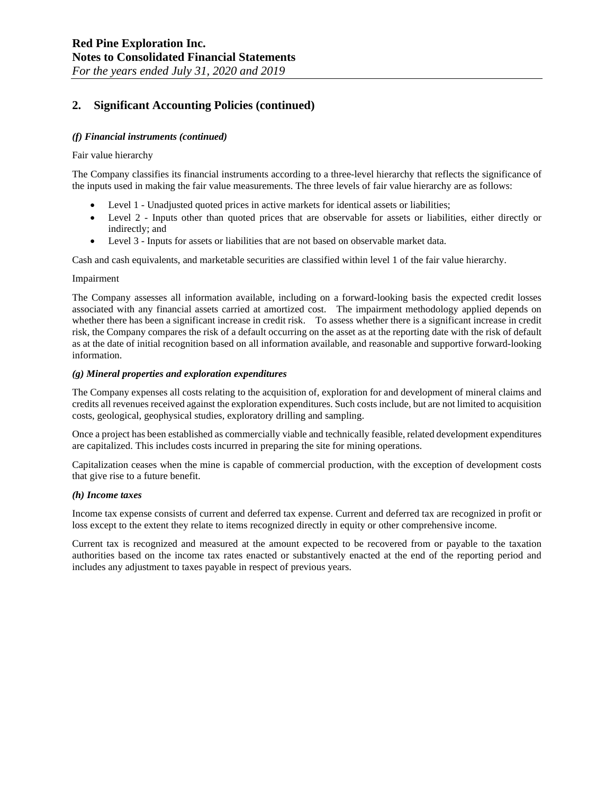# *(f) Financial instruments (continued)*

#### Fair value hierarchy

The Company classifies its financial instruments according to a three-level hierarchy that reflects the significance of the inputs used in making the fair value measurements. The three levels of fair value hierarchy are as follows:

- Level 1 Unadjusted quoted prices in active markets for identical assets or liabilities;
- Level 2 Inputs other than quoted prices that are observable for assets or liabilities, either directly or indirectly; and
- Level 3 Inputs for assets or liabilities that are not based on observable market data.

Cash and cash equivalents, and marketable securities are classified within level 1 of the fair value hierarchy.

#### Impairment

The Company assesses all information available, including on a forward-looking basis the expected credit losses associated with any financial assets carried at amortized cost. The impairment methodology applied depends on whether there has been a significant increase in credit risk. To assess whether there is a significant increase in credit risk, the Company compares the risk of a default occurring on the asset as at the reporting date with the risk of default as at the date of initial recognition based on all information available, and reasonable and supportive forward-looking information.

#### *(g) Mineral properties and exploration expenditures*

The Company expenses all costs relating to the acquisition of, exploration for and development of mineral claims and credits all revenues received against the exploration expenditures. Such costs include, but are not limited to acquisition costs, geological, geophysical studies, exploratory drilling and sampling.

Once a project has been established as commercially viable and technically feasible, related development expenditures are capitalized. This includes costs incurred in preparing the site for mining operations.

Capitalization ceases when the mine is capable of commercial production, with the exception of development costs that give rise to a future benefit.

#### *(h) Income taxes*

Income tax expense consists of current and deferred tax expense. Current and deferred tax are recognized in profit or loss except to the extent they relate to items recognized directly in equity or other comprehensive income.

Current tax is recognized and measured at the amount expected to be recovered from or payable to the taxation authorities based on the income tax rates enacted or substantively enacted at the end of the reporting period and includes any adjustment to taxes payable in respect of previous years.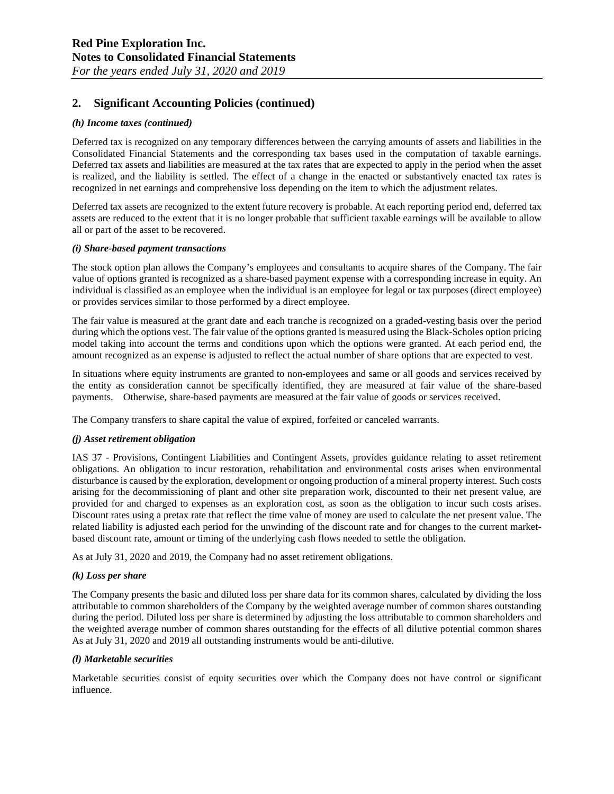# *(h) Income taxes (continued)*

Deferred tax is recognized on any temporary differences between the carrying amounts of assets and liabilities in the Consolidated Financial Statements and the corresponding tax bases used in the computation of taxable earnings. Deferred tax assets and liabilities are measured at the tax rates that are expected to apply in the period when the asset is realized, and the liability is settled. The effect of a change in the enacted or substantively enacted tax rates is recognized in net earnings and comprehensive loss depending on the item to which the adjustment relates.

Deferred tax assets are recognized to the extent future recovery is probable. At each reporting period end, deferred tax assets are reduced to the extent that it is no longer probable that sufficient taxable earnings will be available to allow all or part of the asset to be recovered.

### *(i) Share-based payment transactions*

The stock option plan allows the Company's employees and consultants to acquire shares of the Company. The fair value of options granted is recognized as a share-based payment expense with a corresponding increase in equity. An individual is classified as an employee when the individual is an employee for legal or tax purposes (direct employee) or provides services similar to those performed by a direct employee.

The fair value is measured at the grant date and each tranche is recognized on a graded-vesting basis over the period during which the options vest. The fair value of the options granted is measured using the Black-Scholes option pricing model taking into account the terms and conditions upon which the options were granted. At each period end, the amount recognized as an expense is adjusted to reflect the actual number of share options that are expected to vest.

In situations where equity instruments are granted to non-employees and same or all goods and services received by the entity as consideration cannot be specifically identified, they are measured at fair value of the share-based payments. Otherwise, share-based payments are measured at the fair value of goods or services received.

The Company transfers to share capital the value of expired, forfeited or canceled warrants.

# *(j) Asset retirement obligation*

IAS 37 - Provisions, Contingent Liabilities and Contingent Assets, provides guidance relating to asset retirement obligations. An obligation to incur restoration, rehabilitation and environmental costs arises when environmental disturbance is caused by the exploration, development or ongoing production of a mineral property interest. Such costs arising for the decommissioning of plant and other site preparation work, discounted to their net present value, are provided for and charged to expenses as an exploration cost, as soon as the obligation to incur such costs arises. Discount rates using a pretax rate that reflect the time value of money are used to calculate the net present value. The related liability is adjusted each period for the unwinding of the discount rate and for changes to the current marketbased discount rate, amount or timing of the underlying cash flows needed to settle the obligation.

As at July 31, 2020 and 2019, the Company had no asset retirement obligations.

# *(k) Loss per share*

The Company presents the basic and diluted loss per share data for its common shares, calculated by dividing the loss attributable to common shareholders of the Company by the weighted average number of common shares outstanding during the period. Diluted loss per share is determined by adjusting the loss attributable to common shareholders and the weighted average number of common shares outstanding for the effects of all dilutive potential common shares As at July 31, 2020 and 2019 all outstanding instruments would be anti-dilutive.

# *(l) Marketable securities*

Marketable securities consist of equity securities over which the Company does not have control or significant influence.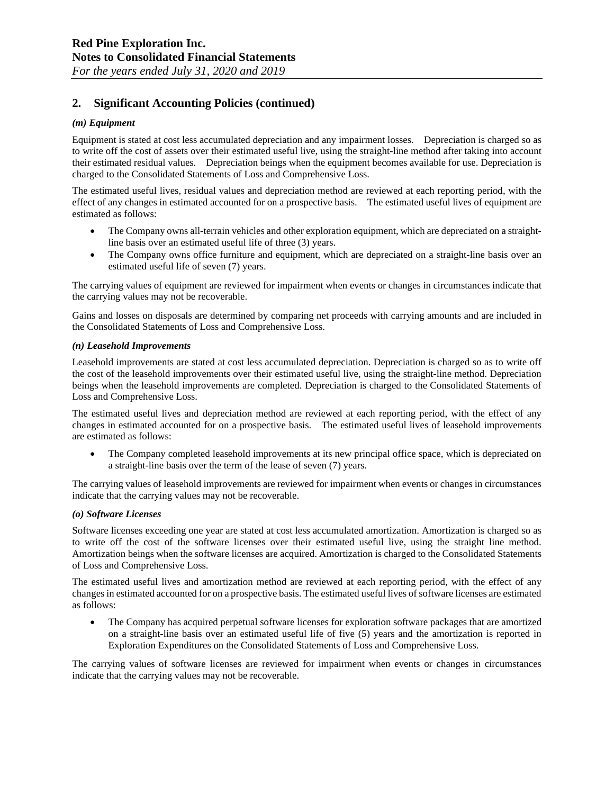# *(m) Equipment*

Equipment is stated at cost less accumulated depreciation and any impairment losses. Depreciation is charged so as to write off the cost of assets over their estimated useful live, using the straight-line method after taking into account their estimated residual values. Depreciation beings when the equipment becomes available for use. Depreciation is charged to the Consolidated Statements of Loss and Comprehensive Loss.

The estimated useful lives, residual values and depreciation method are reviewed at each reporting period, with the effect of any changes in estimated accounted for on a prospective basis. The estimated useful lives of equipment are estimated as follows:

- The Company owns all-terrain vehicles and other exploration equipment, which are depreciated on a straightline basis over an estimated useful life of three (3) years.
- The Company owns office furniture and equipment, which are depreciated on a straight-line basis over an estimated useful life of seven (7) years.

The carrying values of equipment are reviewed for impairment when events or changes in circumstances indicate that the carrying values may not be recoverable.

Gains and losses on disposals are determined by comparing net proceeds with carrying amounts and are included in the Consolidated Statements of Loss and Comprehensive Loss.

### *(n) Leasehold Improvements*

Leasehold improvements are stated at cost less accumulated depreciation. Depreciation is charged so as to write off the cost of the leasehold improvements over their estimated useful live, using the straight-line method. Depreciation beings when the leasehold improvements are completed. Depreciation is charged to the Consolidated Statements of Loss and Comprehensive Loss.

The estimated useful lives and depreciation method are reviewed at each reporting period, with the effect of any changes in estimated accounted for on a prospective basis. The estimated useful lives of leasehold improvements are estimated as follows:

• The Company completed leasehold improvements at its new principal office space, which is depreciated on a straight-line basis over the term of the lease of seven (7) years.

The carrying values of leasehold improvements are reviewed for impairment when events or changes in circumstances indicate that the carrying values may not be recoverable.

# *(o) Software Licenses*

Software licenses exceeding one year are stated at cost less accumulated amortization. Amortization is charged so as to write off the cost of the software licenses over their estimated useful live, using the straight line method. Amortization beings when the software licenses are acquired. Amortization is charged to the Consolidated Statements of Loss and Comprehensive Loss.

The estimated useful lives and amortization method are reviewed at each reporting period, with the effect of any changes in estimated accounted for on a prospective basis. The estimated useful lives of software licenses are estimated as follows:

 The Company has acquired perpetual software licenses for exploration software packages that are amortized on a straight-line basis over an estimated useful life of five (5) years and the amortization is reported in Exploration Expenditures on the Consolidated Statements of Loss and Comprehensive Loss.

The carrying values of software licenses are reviewed for impairment when events or changes in circumstances indicate that the carrying values may not be recoverable.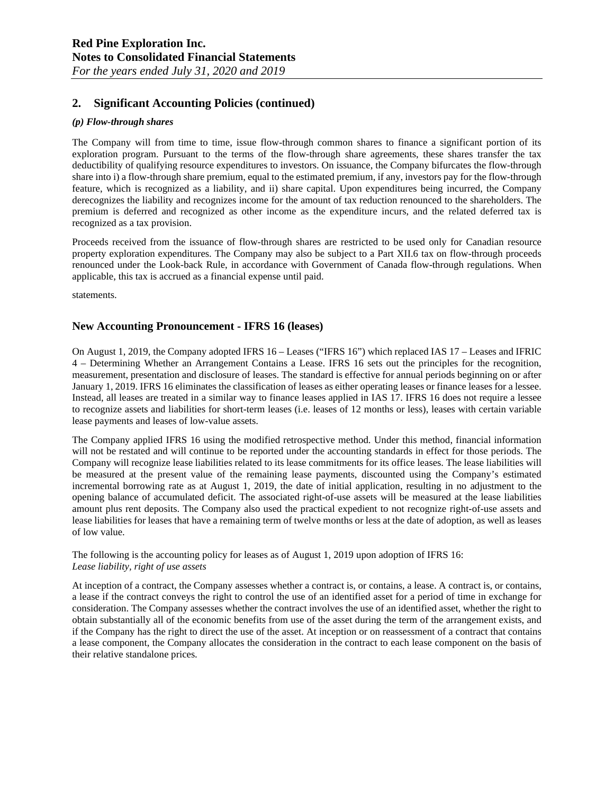# *(p) Flow-through shares*

The Company will from time to time, issue flow-through common shares to finance a significant portion of its exploration program. Pursuant to the terms of the flow-through share agreements, these shares transfer the tax deductibility of qualifying resource expenditures to investors. On issuance, the Company bifurcates the flow-through share into i) a flow-through share premium, equal to the estimated premium, if any, investors pay for the flow-through feature, which is recognized as a liability, and ii) share capital. Upon expenditures being incurred, the Company derecognizes the liability and recognizes income for the amount of tax reduction renounced to the shareholders. The premium is deferred and recognized as other income as the expenditure incurs, and the related deferred tax is recognized as a tax provision.

Proceeds received from the issuance of flow-through shares are restricted to be used only for Canadian resource property exploration expenditures. The Company may also be subject to a Part XII.6 tax on flow-through proceeds renounced under the Look-back Rule, in accordance with Government of Canada flow-through regulations. When applicable, this tax is accrued as a financial expense until paid.

statements.

# **New Accounting Pronouncement - IFRS 16 (leases)**

On August 1, 2019, the Company adopted IFRS 16 – Leases ("IFRS 16") which replaced IAS 17 – Leases and IFRIC 4 – Determining Whether an Arrangement Contains a Lease. IFRS 16 sets out the principles for the recognition, measurement, presentation and disclosure of leases. The standard is effective for annual periods beginning on or after January 1, 2019. IFRS 16 eliminates the classification of leases as either operating leases or finance leases for a lessee. Instead, all leases are treated in a similar way to finance leases applied in IAS 17. IFRS 16 does not require a lessee to recognize assets and liabilities for short-term leases (i.e. leases of 12 months or less), leases with certain variable lease payments and leases of low-value assets.

The Company applied IFRS 16 using the modified retrospective method. Under this method, financial information will not be restated and will continue to be reported under the accounting standards in effect for those periods. The Company will recognize lease liabilities related to its lease commitments for its office leases. The lease liabilities will be measured at the present value of the remaining lease payments, discounted using the Company's estimated incremental borrowing rate as at August 1, 2019, the date of initial application, resulting in no adjustment to the opening balance of accumulated deficit. The associated right-of-use assets will be measured at the lease liabilities amount plus rent deposits. The Company also used the practical expedient to not recognize right-of-use assets and lease liabilities for leases that have a remaining term of twelve months or less at the date of adoption, as well as leases of low value.

The following is the accounting policy for leases as of August 1, 2019 upon adoption of IFRS 16: *Lease liability, right of use assets* 

At inception of a contract, the Company assesses whether a contract is, or contains, a lease. A contract is, or contains, a lease if the contract conveys the right to control the use of an identified asset for a period of time in exchange for consideration. The Company assesses whether the contract involves the use of an identified asset, whether the right to obtain substantially all of the economic benefits from use of the asset during the term of the arrangement exists, and if the Company has the right to direct the use of the asset. At inception or on reassessment of a contract that contains a lease component, the Company allocates the consideration in the contract to each lease component on the basis of their relative standalone prices.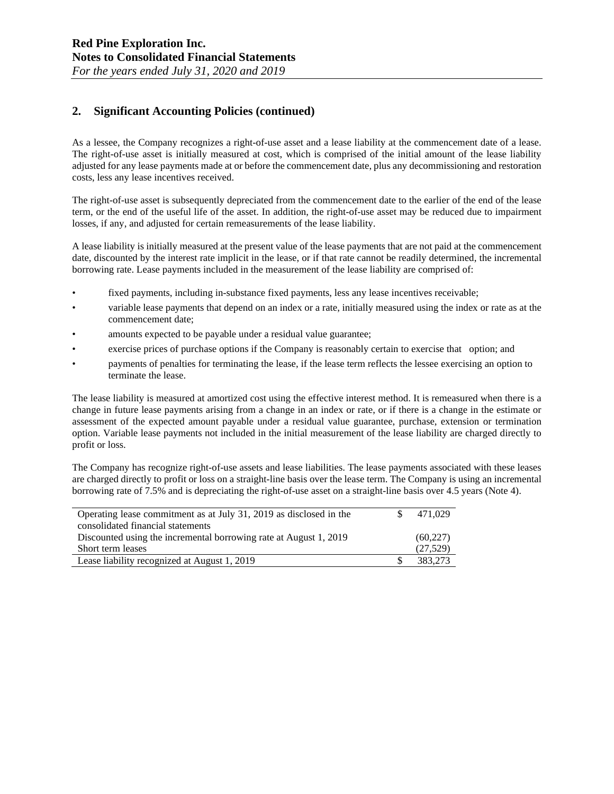As a lessee, the Company recognizes a right-of-use asset and a lease liability at the commencement date of a lease. The right-of-use asset is initially measured at cost, which is comprised of the initial amount of the lease liability adjusted for any lease payments made at or before the commencement date, plus any decommissioning and restoration costs, less any lease incentives received.

The right-of-use asset is subsequently depreciated from the commencement date to the earlier of the end of the lease term, or the end of the useful life of the asset. In addition, the right-of-use asset may be reduced due to impairment losses, if any, and adjusted for certain remeasurements of the lease liability.

A lease liability is initially measured at the present value of the lease payments that are not paid at the commencement date, discounted by the interest rate implicit in the lease, or if that rate cannot be readily determined, the incremental borrowing rate. Lease payments included in the measurement of the lease liability are comprised of:

- fixed payments, including in-substance fixed payments, less any lease incentives receivable;
- variable lease payments that depend on an index or a rate, initially measured using the index or rate as at the commencement date;
- amounts expected to be payable under a residual value guarantee;
- exercise prices of purchase options if the Company is reasonably certain to exercise that option; and
- payments of penalties for terminating the lease, if the lease term reflects the lessee exercising an option to terminate the lease.

The lease liability is measured at amortized cost using the effective interest method. It is remeasured when there is a change in future lease payments arising from a change in an index or rate, or if there is a change in the estimate or assessment of the expected amount payable under a residual value guarantee, purchase, extension or termination option. Variable lease payments not included in the initial measurement of the lease liability are charged directly to profit or loss.

The Company has recognize right-of-use assets and lease liabilities. The lease payments associated with these leases are charged directly to profit or loss on a straight-line basis over the lease term. The Company is using an incremental borrowing rate of 7.5% and is depreciating the right-of-use asset on a straight-line basis over 4.5 years (Note 4).

| Operating lease commitment as at July 31, 2019 as disclosed in the | 471.029   |
|--------------------------------------------------------------------|-----------|
| consolidated financial statements                                  |           |
| Discounted using the incremental borrowing rate at August 1, 2019  | (60, 227) |
| Short term leases                                                  | (27,529)  |
| Lease liability recognized at August 1, 2019                       | 383.273   |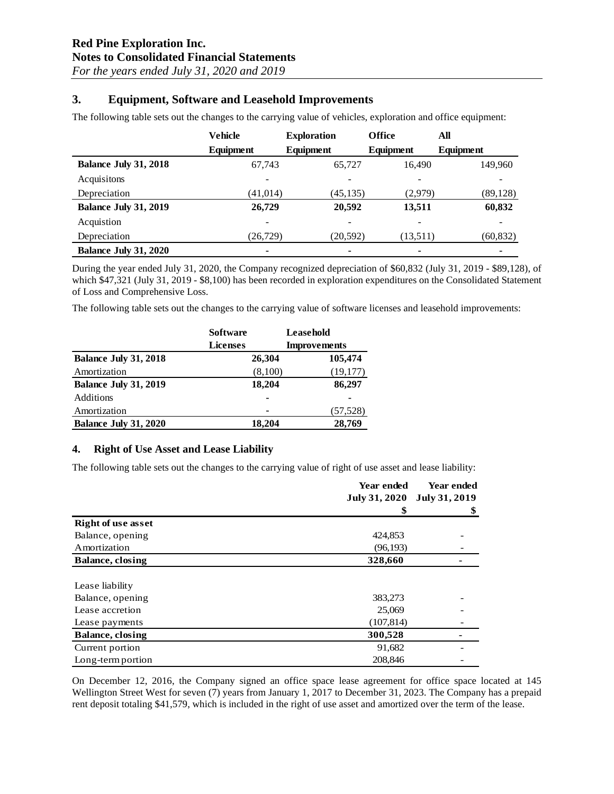# **3. Equipment, Software and Leasehold Improvements**

The following table sets out the changes to the carrying value of vehicles, exploration and office equipment:

|                              | Vehicle                  | <b>Exploration</b> | <b>Office</b> | All       |
|------------------------------|--------------------------|--------------------|---------------|-----------|
|                              | Equipment                | Equipment          | Equipment     | Equipment |
| <b>Balance July 31, 2018</b> | 67,743                   | 65,727             | 16,490        | 149.960   |
| Acquisitons                  | $\overline{\phantom{0}}$ | -                  |               |           |
| Depreciation                 | (41, 014)                | (45, 135)          | (2,979)       | (89, 128) |
| <b>Balance July 31, 2019</b> | 26,729                   | 20,592             | 13,511        | 60,832    |
| Acquistion                   | ۰                        | -                  |               |           |
| Depreciation                 | (26, 729)                | (20, 592)          | (13,511)      | (60, 832) |
| <b>Balance July 31, 2020</b> | ٠                        | ۰                  | ۰             | ٠         |

During the year ended July 31, 2020, the Company recognized depreciation of \$60,832 (July 31, 2019 - \$89,128), of which \$47,321 (July 31, 2019 - \$8,100) has been recorded in exploration expenditures on the Consolidated Statement of Loss and Comprehensive Loss.

The following table sets out the changes to the carrying value of software licenses and leasehold improvements:

|                              | <b>Software</b> |         | Leasehold           |
|------------------------------|-----------------|---------|---------------------|
|                              | <b>Licenses</b> |         | <b>Improvements</b> |
| <b>Balance July 31, 2018</b> |                 | 26,304  | 105,474             |
| Amortization                 |                 | (8,100) | (19, 177)           |
| <b>Balance July 31, 2019</b> |                 | 18,204  | 86,297              |
| Additions                    |                 | ۰       | ۰                   |
| Amortization                 |                 |         | (57,528)            |
| <b>Balance July 31, 2020</b> |                 | 18,204  | 28,769              |

# **4. Right of Use Asset and Lease Liability**

The following table sets out the changes to the carrying value of right of use asset and lease liability:

|                           | <b>Year ended</b>           | Year ended |
|---------------------------|-----------------------------|------------|
|                           | July 31, 2020 July 31, 2019 |            |
|                           | \$                          |            |
| <b>Right of use asset</b> |                             |            |
| Balance, opening          | 424,853                     |            |
| Amortization              | (96, 193)                   |            |
| <b>Balance, closing</b>   | 328,660                     |            |
|                           |                             |            |
| Lease liability           |                             |            |
| Balance, opening          | 383,273                     |            |
| Lease accretion           | 25,069                      |            |
| Lease payments            | (107, 814)                  |            |
| <b>Balance, closing</b>   | 300,528                     |            |
| Current portion           | 91,682                      |            |
| Long-term portion         | 208,846                     |            |

On December 12, 2016, the Company signed an office space lease agreement for office space located at 145 Wellington Street West for seven (7) years from January 1, 2017 to December 31, 2023. The Company has a prepaid rent deposit totaling \$41,579, which is included in the right of use asset and amortized over the term of the lease.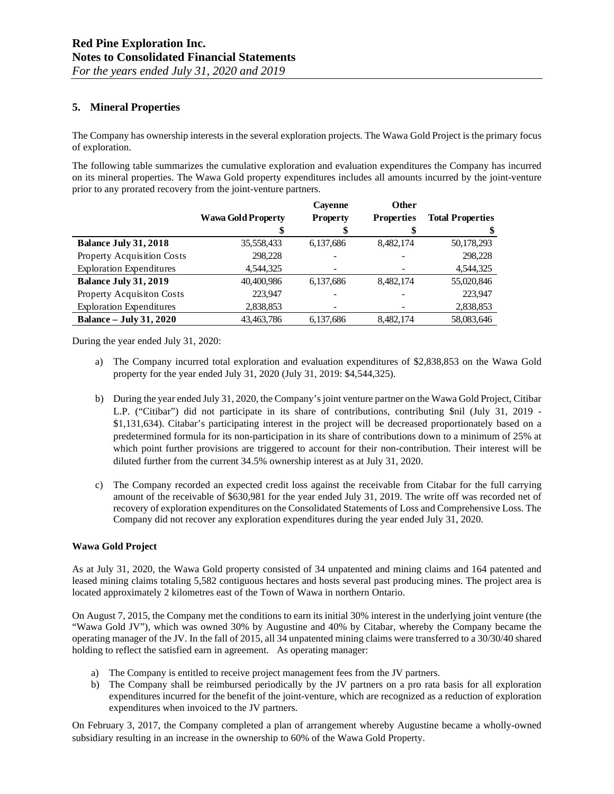# **5. Mineral Properties**

The Company has ownership interests in the several exploration projects. The Wawa Gold Project is the primary focus of exploration.

The following table summarizes the cumulative exploration and evaluation expenditures the Company has incurred on its mineral properties. The Wawa Gold property expenditures includes all amounts incurred by the joint-venture prior to any prorated recovery from the joint-venture partners.

|                                  |                           | <b>Cayenne</b>  | <b>Other</b>      |                         |
|----------------------------------|---------------------------|-----------------|-------------------|-------------------------|
|                                  | <b>Wawa Gold Property</b> | <b>Property</b> | <b>Properties</b> | <b>Total Properties</b> |
|                                  |                           |                 |                   |                         |
| Balance July 31, 2018            | 35,558,433                | 6,137,686       | 8,482,174         | 50,178,293              |
| Property Acquisition Costs       | 298,228                   |                 |                   | 298,228                 |
| <b>Exploration Expenditures</b>  | 4,544,325                 | -               |                   | 4,544,325               |
| Balance July 31, 2019            | 40,400,986                | 6,137,686       | 8.482.174         | 55,020,846              |
| <b>Property Acquisiton Costs</b> | 223,947                   | -               |                   | 223.947                 |
| <b>Exploration Expenditures</b>  | 2,838,853                 |                 |                   | 2,838,853               |
| <b>Balance – July 31, 2020</b>   | 43.463.786                | 6,137,686       | 8.482.174         | 58,083,646              |

During the year ended July 31, 2020:

- a) The Company incurred total exploration and evaluation expenditures of \$2,838,853 on the Wawa Gold property for the year ended July 31, 2020 (July 31, 2019: \$4,544,325).
- b) During the year ended July 31, 2020, the Company's joint venture partner on the Wawa Gold Project, Citibar L.P. ("Citibar") did not participate in its share of contributions, contributing \$nil (July 31, 2019 - \$1,131,634). Citabar's participating interest in the project will be decreased proportionately based on a predetermined formula for its non-participation in its share of contributions down to a minimum of 25% at which point further provisions are triggered to account for their non-contribution. Their interest will be diluted further from the current 34.5% ownership interest as at July 31, 2020.
- c) The Company recorded an expected credit loss against the receivable from Citabar for the full carrying amount of the receivable of \$630,981 for the year ended July 31, 2019. The write off was recorded net of recovery of exploration expenditures on the Consolidated Statements of Loss and Comprehensive Loss. The Company did not recover any exploration expenditures during the year ended July 31, 2020.

# **Wawa Gold Project**

As at July 31, 2020, the Wawa Gold property consisted of 34 unpatented and mining claims and 164 patented and leased mining claims totaling 5,582 contiguous hectares and hosts several past producing mines. The project area is located approximately 2 kilometres east of the Town of Wawa in northern Ontario.

On August 7, 2015, the Company met the conditions to earn its initial 30% interest in the underlying joint venture (the "Wawa Gold JV"), which was owned 30% by Augustine and 40% by Citabar, whereby the Company became the operating manager of the JV. In the fall of 2015, all 34 unpatented mining claims were transferred to a 30/30/40 shared holding to reflect the satisfied earn in agreement. As operating manager:

- a) The Company is entitled to receive project management fees from the JV partners.
- b) The Company shall be reimbursed periodically by the JV partners on a pro rata basis for all exploration expenditures incurred for the benefit of the joint-venture, which are recognized as a reduction of exploration expenditures when invoiced to the JV partners.

On February 3, 2017, the Company completed a plan of arrangement whereby Augustine became a wholly-owned subsidiary resulting in an increase in the ownership to 60% of the Wawa Gold Property.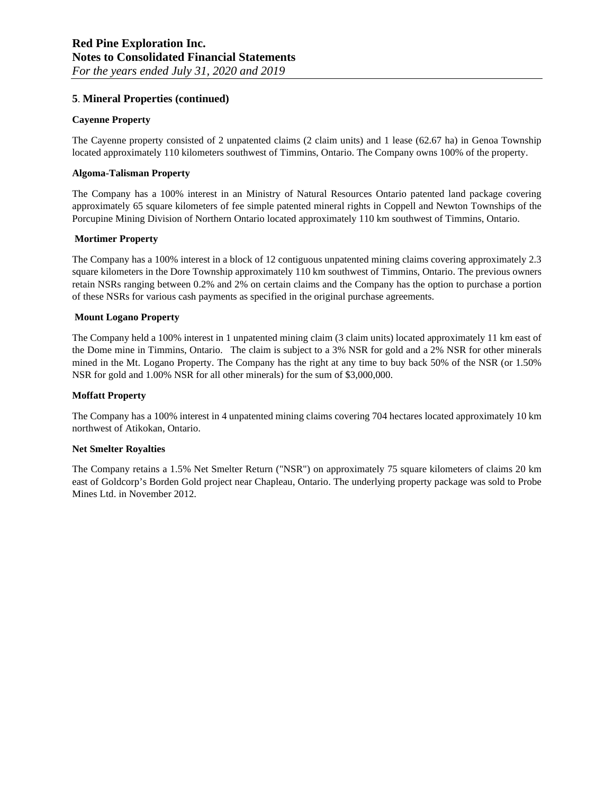# **5**. **Mineral Properties (continued)**

### **Cayenne Property**

The Cayenne property consisted of 2 unpatented claims (2 claim units) and 1 lease (62.67 ha) in Genoa Township located approximately 110 kilometers southwest of Timmins, Ontario. The Company owns 100% of the property.

### **Algoma-Talisman Property**

The Company has a 100% interest in an Ministry of Natural Resources Ontario patented land package covering approximately 65 square kilometers of fee simple patented mineral rights in Coppell and Newton Townships of the Porcupine Mining Division of Northern Ontario located approximately 110 km southwest of Timmins, Ontario.

### **Mortimer Property**

The Company has a 100% interest in a block of 12 contiguous unpatented mining claims covering approximately 2.3 square kilometers in the Dore Township approximately 110 km southwest of Timmins, Ontario. The previous owners retain NSRs ranging between 0.2% and 2% on certain claims and the Company has the option to purchase a portion of these NSRs for various cash payments as specified in the original purchase agreements.

### **Mount Logano Property**

The Company held a 100% interest in 1 unpatented mining claim (3 claim units) located approximately 11 km east of the Dome mine in Timmins, Ontario. The claim is subject to a 3% NSR for gold and a 2% NSR for other minerals mined in the Mt. Logano Property. The Company has the right at any time to buy back 50% of the NSR (or 1.50% NSR for gold and 1.00% NSR for all other minerals) for the sum of \$3,000,000.

#### **Moffatt Property**

The Company has a 100% interest in 4 unpatented mining claims covering 704 hectares located approximately 10 km northwest of Atikokan, Ontario.

#### **Net Smelter Royalties**

The Company retains a 1.5% Net Smelter Return ("NSR") on approximately 75 square kilometers of claims 20 km east of Goldcorp's Borden Gold project near Chapleau, Ontario. The underlying property package was sold to Probe Mines Ltd. in November 2012.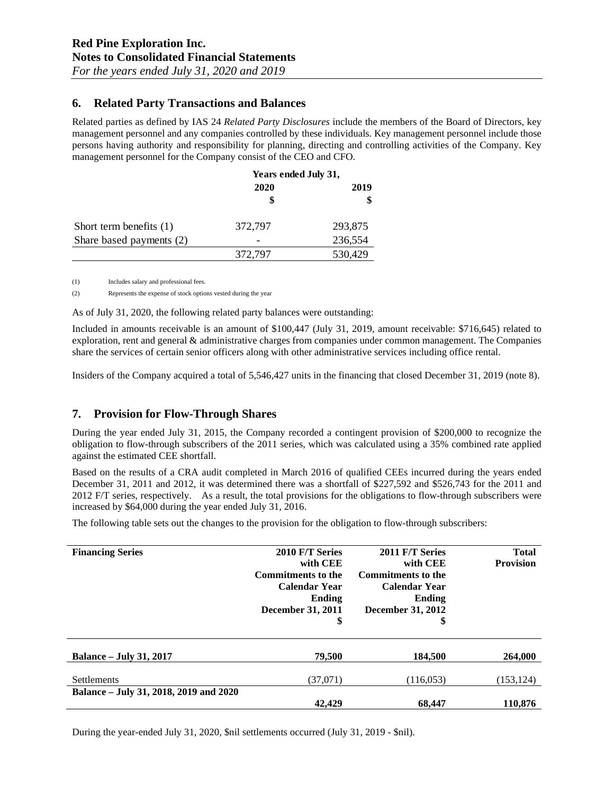# **6. Related Party Transactions and Balances**

Related parties as defined by IAS 24 *Related Party Disclosures* include the members of the Board of Directors, key management personnel and any companies controlled by these individuals. Key management personnel include those persons having authority and responsibility for planning, directing and controlling activities of the Company. Key management personnel for the Company consist of the CEO and CFO.

|                           | Years ended July 31, |         |  |
|---------------------------|----------------------|---------|--|
|                           | 2020                 | 2019    |  |
| Short term benefits $(1)$ | 372,797              | 293,875 |  |
| Share based payments (2)  |                      | 236,554 |  |
|                           | 372,797              | 530,429 |  |

(1) Includes salary and professional fees.

(2) Represents the expense of stock options vested during the year

As of July 31, 2020, the following related party balances were outstanding:

Included in amounts receivable is an amount of \$100,447 (July 31, 2019, amount receivable: \$716,645) related to exploration, rent and general & administrative charges from companies under common management. The Companies share the services of certain senior officers along with other administrative services including office rental.

Insiders of the Company acquired a total of 5,546,427 units in the financing that closed December 31, 2019 (note 8).

# **7. Provision for Flow-Through Shares**

During the year ended July 31, 2015, the Company recorded a contingent provision of \$200,000 to recognize the obligation to flow-through subscribers of the 2011 series, which was calculated using a 35% combined rate applied against the estimated CEE shortfall.

Based on the results of a CRA audit completed in March 2016 of qualified CEEs incurred during the years ended December 31, 2011 and 2012, it was determined there was a shortfall of \$227,592 and \$526,743 for the 2011 and 2012 F/T series, respectively. As a result, the total provisions for the obligations to flow-through subscribers were increased by \$64,000 during the year ended July 31, 2016.

The following table sets out the changes to the provision for the obligation to flow-through subscribers:

| <b>Financing Series</b>                | 2010 F/T Series<br>with CEE<br><b>Commitments to the</b><br><b>Calendar Year</b><br>Ending<br><b>December 31, 2011</b><br>\$ | 2011 F/T Series<br>with CEE<br><b>Commitments to the</b><br><b>Calendar Year</b><br>Ending<br><b>December 31, 2012</b><br>\$ | <b>Total</b><br><b>Provision</b> |
|----------------------------------------|------------------------------------------------------------------------------------------------------------------------------|------------------------------------------------------------------------------------------------------------------------------|----------------------------------|
| <b>Balance – July 31, 2017</b>         | 79,500                                                                                                                       | 184.500                                                                                                                      | 264,000                          |
| <b>Settlements</b>                     | (37,071)                                                                                                                     | (116, 053)                                                                                                                   | (153, 124)                       |
| Balance - July 31, 2018, 2019 and 2020 |                                                                                                                              |                                                                                                                              |                                  |
|                                        | 42,429                                                                                                                       | 68,447                                                                                                                       | 110,876                          |

During the year-ended July 31, 2020, \$nil settlements occurred (July 31, 2019 - \$nil).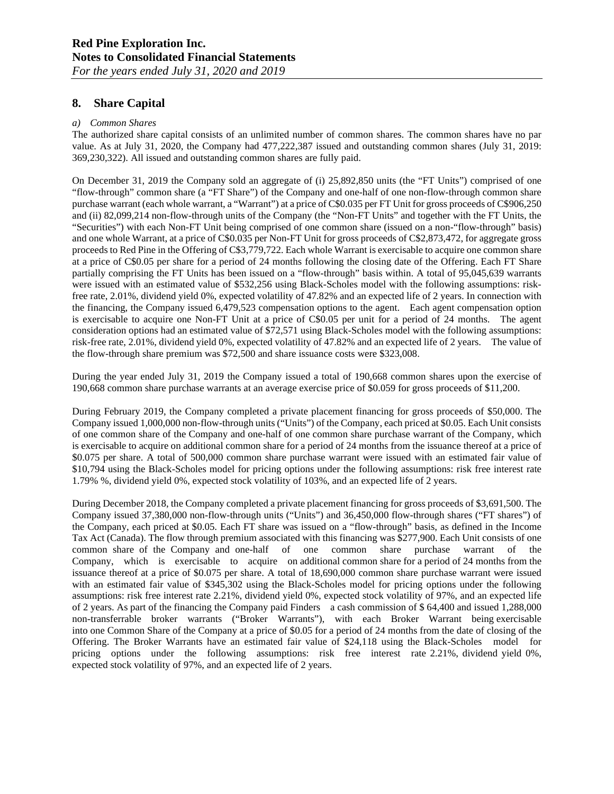# **8. Share Capital**

### *a) Common Shares*

The authorized share capital consists of an unlimited number of common shares. The common shares have no par value. As at July 31, 2020, the Company had 477,222,387 issued and outstanding common shares (July 31, 2019: 369,230,322). All issued and outstanding common shares are fully paid.

On December 31, 2019 the Company sold an aggregate of (i) 25,892,850 units (the "FT Units") comprised of one "flow-through" common share (a "FT Share") of the Company and one-half of one non-flow-through common share purchase warrant (each whole warrant, a "Warrant") at a price of C\$0.035 per FT Unit for gross proceeds of C\$906,250 and (ii) 82,099,214 non-flow-through units of the Company (the "Non-FT Units" and together with the FT Units, the "Securities") with each Non-FT Unit being comprised of one common share (issued on a non-"flow-through" basis) and one whole Warrant, at a price of C\$0.035 per Non-FT Unit for gross proceeds of C\$2,873,472, for aggregate gross proceeds to Red Pine in the Offering of C\$3,779,722. Each whole Warrant is exercisable to acquire one common share at a price of C\$0.05 per share for a period of 24 months following the closing date of the Offering. Each FT Share partially comprising the FT Units has been issued on a "flow-through" basis within. A total of 95,045,639 warrants were issued with an estimated value of \$532,256 using Black-Scholes model with the following assumptions: riskfree rate, 2.01%, dividend yield 0%, expected volatility of 47.82% and an expected life of 2 years. In connection with the financing, the Company issued 6,479,523 compensation options to the agent. Each agent compensation option is exercisable to acquire one Non-FT Unit at a price of C\$0.05 per unit for a period of 24 months. The agent consideration options had an estimated value of \$72,571 using Black-Scholes model with the following assumptions: risk-free rate, 2.01%, dividend yield 0%, expected volatility of 47.82% and an expected life of 2 years. The value of the flow-through share premium was \$72,500 and share issuance costs were \$323,008.

During the year ended July 31, 2019 the Company issued a total of 190,668 common shares upon the exercise of 190,668 common share purchase warrants at an average exercise price of \$0.059 for gross proceeds of \$11,200.

During February 2019, the Company completed a private placement financing for gross proceeds of \$50,000. The Company issued 1,000,000 non-flow-through units ("Units") of the Company, each priced at \$0.05. Each Unit consists of one common share of the Company and one-half of one common share purchase warrant of the Company, which is exercisable to acquire on additional common share for a period of 24 months from the issuance thereof at a price of \$0.075 per share. A total of 500,000 common share purchase warrant were issued with an estimated fair value of \$10,794 using the Black-Scholes model for pricing options under the following assumptions: risk free interest rate 1.79% %, dividend yield 0%, expected stock volatility of 103%, and an expected life of 2 years.

During December 2018, the Company completed a private placement financing for gross proceeds of \$3,691,500. The Company issued 37,380,000 non-flow-through units ("Units") and 36,450,000 flow-through shares ("FT shares") of the Company, each priced at \$0.05. Each FT share was issued on a "flow-through" basis, as defined in the Income Tax Act (Canada). The flow through premium associated with this financing was \$277,900. Each Unit consists of one common share of the Company and one-half of one common share purchase warrant of the Company, which is exercisable to acquire on additional common share for a period of 24 months from the issuance thereof at a price of \$0.075 per share. A total of 18,690,000 common share purchase warrant were issued with an estimated fair value of \$345,302 using the Black-Scholes model for pricing options under the following assumptions: risk free interest rate 2.21%, dividend yield 0%, expected stock volatility of 97%, and an expected life of 2 years. As part of the financing the Company paid Finders a cash commission of \$ 64,400 and issued 1,288,000 non-transferrable broker warrants ("Broker Warrants"), with each Broker Warrant being exercisable into one Common Share of the Company at a price of \$0.05 for a period of 24 months from the date of closing of the Offering. The Broker Warrants have an estimated fair value of \$24,118 using the Black-Scholes model for pricing options under the following assumptions: risk free interest rate 2.21%, dividend yield 0%, expected stock volatility of 97%, and an expected life of 2 years.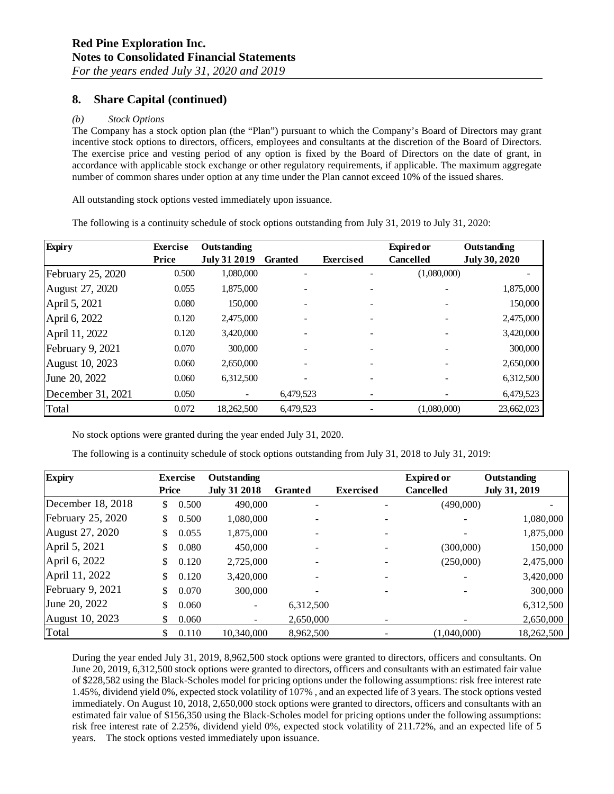# **8. Share Capital (continued)**

### *(b) Stock Options*

The Company has a stock option plan (the "Plan") pursuant to which the Company's Board of Directors may grant incentive stock options to directors, officers, employees and consultants at the discretion of the Board of Directors. The exercise price and vesting period of any option is fixed by the Board of Directors on the date of grant, in accordance with applicable stock exchange or other regulatory requirements, if applicable. The maximum aggregate number of common shares under option at any time under the Plan cannot exceed 10% of the issued shares.

All outstanding stock options vested immediately upon issuance.

The following is a continuity schedule of stock options outstanding from July 31, 2019 to July 31, 2020:

| <b>Expiry</b>     | <b>Exercise</b> | <b>Outstanding</b>  |                |                  | <b>Expired or</b> | Outstanding   |
|-------------------|-----------------|---------------------|----------------|------------------|-------------------|---------------|
|                   | <b>Price</b>    | <b>July 31 2019</b> | <b>Granted</b> | <b>Exercised</b> | <b>Cancelled</b>  | July 30, 2020 |
| February 25, 2020 | 0.500           | 1,080,000           |                |                  | (1,080,000)       |               |
| August 27, 2020   | 0.055           | 1,875,000           |                |                  |                   | 1,875,000     |
| April 5, 2021     | 0.080           | 150,000             |                |                  |                   | 150,000       |
| April 6, 2022     | 0.120           | 2,475,000           |                |                  |                   | 2,475,000     |
| April 11, 2022    | 0.120           | 3,420,000           |                |                  |                   | 3,420,000     |
| February 9, 2021  | 0.070           | 300,000             |                |                  |                   | 300,000       |
| August 10, 2023   | 0.060           | 2,650,000           |                |                  |                   | 2,650,000     |
| June 20, 2022     | 0.060           | 6,312,500           |                |                  |                   | 6,312,500     |
| December 31, 2021 | 0.050           |                     | 6,479,523      |                  |                   | 6,479,523     |
| Total             | 0.072           | 18,262,500          | 6,479,523      |                  | (1,080,000)       | 23,662,023    |

No stock options were granted during the year ended July 31, 2020.

The following is a continuity schedule of stock options outstanding from July 31, 2018 to July 31, 2019:

| <b>Expiry</b>       | <b>Exercise</b> |       | Outstanding              |                |                  | <b>Expired or</b> | Outstanding          |
|---------------------|-----------------|-------|--------------------------|----------------|------------------|-------------------|----------------------|
|                     | Price           |       | <b>July 31 2018</b>      | <b>Granted</b> | <b>Exercised</b> | <b>Cancelled</b>  | <b>July 31, 2019</b> |
| December 18, 2018   | \$              | 0.500 | 490,000                  |                |                  | (490,000)         |                      |
| February $25, 2020$ | \$              | 0.500 | 1,080,000                |                |                  |                   | 1,080,000            |
| August 27, 2020     | \$              | 0.055 | 1,875,000                |                |                  |                   | 1,875,000            |
| April 5, 2021       | \$              | 0.080 | 450,000                  |                |                  | (300,000)         | 150,000              |
| April 6, 2022       | \$              | 0.120 | 2,725,000                |                |                  | (250,000)         | 2,475,000            |
| April 11, 2022      | \$              | 0.120 | 3,420,000                |                |                  |                   | 3,420,000            |
| February 9, 2021    | \$              | 0.070 | 300,000                  |                |                  |                   | 300,000              |
| June 20, 2022       | \$              | 0.060 | $\overline{\phantom{a}}$ | 6,312,500      |                  |                   | 6,312,500            |
| August 10, 2023     | \$              | 0.060 |                          | 2,650,000      |                  |                   | 2,650,000            |
| Total               | \$              | 0.110 | 10.340.000               | 8,962,500      |                  | (1.040.000)       | 18.262.500           |

During the year ended July 31, 2019, 8,962,500 stock options were granted to directors, officers and consultants. On June 20, 2019, 6,312,500 stock options were granted to directors, officers and consultants with an estimated fair value of \$228,582 using the Black-Scholes model for pricing options under the following assumptions: risk free interest rate 1.45%, dividend yield 0%, expected stock volatility of 107% , and an expected life of 3 years. The stock options vested immediately. On August 10, 2018, 2,650,000 stock options were granted to directors, officers and consultants with an estimated fair value of \$156,350 using the Black-Scholes model for pricing options under the following assumptions: risk free interest rate of 2.25%, dividend yield 0%, expected stock volatility of 211.72%, and an expected life of 5 years. The stock options vested immediately upon issuance.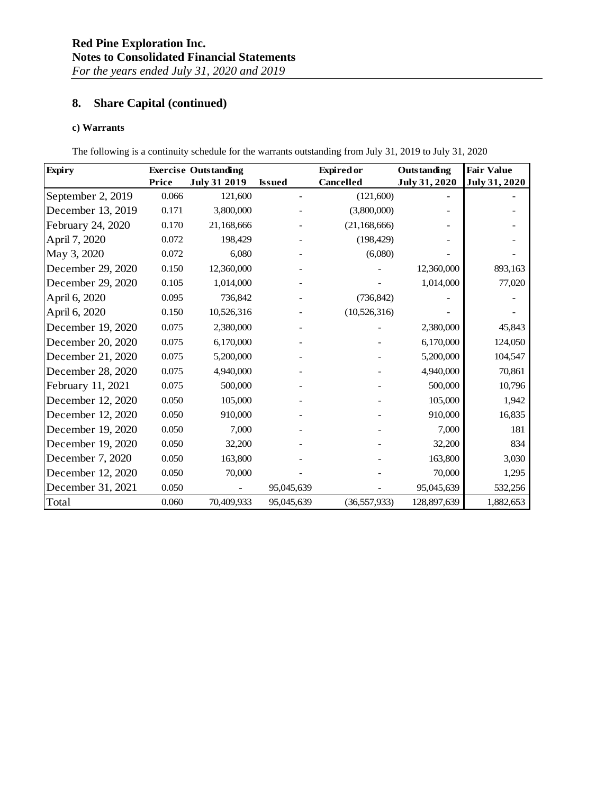# **8. Share Capital (continued)**

# **c) Warrants**

The following is a continuity schedule for the warrants outstanding from July 31, 2019 to July 31, 2020

| <b>Expiry</b>     |       | <b>Exercise Outstanding</b> |               | <b>Expired or</b> | Outstanding          | <b>Fair Value</b> |
|-------------------|-------|-----------------------------|---------------|-------------------|----------------------|-------------------|
|                   | Price | <b>July 31 2019</b>         | <b>Issued</b> | <b>Cancelled</b>  | <b>July 31, 2020</b> | July 31, 2020     |
| September 2, 2019 | 0.066 | 121,600                     |               | (121,600)         |                      |                   |
| December 13, 2019 | 0.171 | 3,800,000                   |               | (3,800,000)       |                      |                   |
| February 24, 2020 | 0.170 | 21,168,666                  |               | (21, 168, 666)    |                      |                   |
| April 7, 2020     | 0.072 | 198,429                     |               | (198, 429)        |                      |                   |
| May 3, 2020       | 0.072 | 6,080                       |               | (6,080)           |                      |                   |
| December 29, 2020 | 0.150 | 12,360,000                  |               |                   | 12,360,000           | 893,163           |
| December 29, 2020 | 0.105 | 1,014,000                   |               |                   | 1,014,000            | 77,020            |
| April 6, 2020     | 0.095 | 736,842                     |               | (736, 842)        |                      |                   |
| April 6, 2020     | 0.150 | 10,526,316                  |               | (10,526,316)      |                      |                   |
| December 19, 2020 | 0.075 | 2,380,000                   |               |                   | 2,380,000            | 45,843            |
| December 20, 2020 | 0.075 | 6,170,000                   |               |                   | 6,170,000            | 124,050           |
| December 21, 2020 | 0.075 | 5,200,000                   |               |                   | 5,200,000            | 104,547           |
| December 28, 2020 | 0.075 | 4,940,000                   |               |                   | 4,940,000            | 70,861            |
| February 11, 2021 | 0.075 | 500,000                     |               |                   | 500,000              | 10,796            |
| December 12, 2020 | 0.050 | 105,000                     |               |                   | 105,000              | 1,942             |
| December 12, 2020 | 0.050 | 910,000                     |               |                   | 910,000              | 16,835            |
| December 19, 2020 | 0.050 | 7,000                       |               |                   | 7,000                | 181               |
| December 19, 2020 | 0.050 | 32,200                      |               |                   | 32,200               | 834               |
| December 7, 2020  | 0.050 | 163,800                     |               |                   | 163,800              | 3,030             |
| December 12, 2020 | 0.050 | 70,000                      |               |                   | 70,000               | 1,295             |
| December 31, 2021 | 0.050 |                             | 95,045,639    |                   | 95,045,639           | 532,256           |
| Total             | 0.060 | 70,409,933                  | 95,045,639    | (36, 557, 933)    | 128,897,639          | 1,882,653         |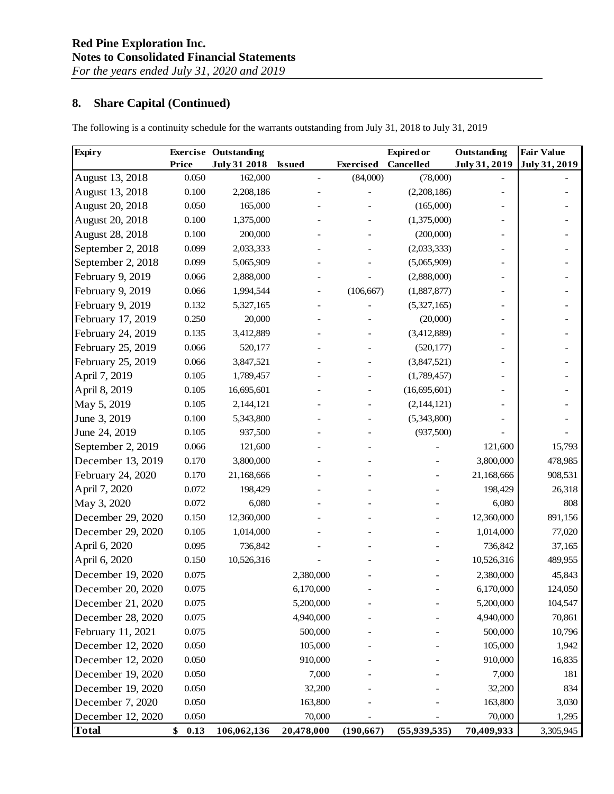# **8. Share Capital (Continued)**

The following is a continuity schedule for the warrants outstanding from July 31, 2018 to July 31, 2019

| Expiry            |            | <b>Exercise Outstanding</b> |                          |                  | <b>Expired or</b> | Outstanding   | <b>Fair Value</b> |
|-------------------|------------|-----------------------------|--------------------------|------------------|-------------------|---------------|-------------------|
|                   | Price      | <b>July 31 2018</b>         | <b>Issued</b>            | <b>Exercised</b> | Cancelled         | July 31, 2019 | July 31, 2019     |
| August 13, 2018   | 0.050      | 162,000                     | $\overline{\phantom{0}}$ | (84,000)         | (78,000)          |               |                   |
| August 13, 2018   | 0.100      | 2,208,186                   |                          |                  | (2,208,186)       |               |                   |
| August 20, 2018   | 0.050      | 165,000                     |                          |                  | (165,000)         |               |                   |
| August 20, 2018   | 0.100      | 1,375,000                   |                          |                  | (1,375,000)       |               |                   |
| August 28, 2018   | 0.100      | 200,000                     |                          |                  | (200,000)         |               |                   |
| September 2, 2018 | 0.099      | 2,033,333                   |                          |                  | (2,033,333)       |               |                   |
| September 2, 2018 | 0.099      | 5,065,909                   |                          |                  | (5,065,909)       |               |                   |
| February 9, 2019  | 0.066      | 2,888,000                   |                          |                  | (2,888,000)       |               |                   |
| February 9, 2019  | 0.066      | 1,994,544                   |                          | (106, 667)       | (1,887,877)       |               |                   |
| February 9, 2019  | 0.132      | 5,327,165                   |                          |                  | (5,327,165)       |               |                   |
| February 17, 2019 | 0.250      | 20,000                      |                          |                  | (20,000)          |               |                   |
| February 24, 2019 | 0.135      | 3,412,889                   |                          |                  | (3,412,889)       |               |                   |
| February 25, 2019 | 0.066      | 520,177                     |                          |                  | (520, 177)        |               |                   |
| February 25, 2019 | 0.066      | 3,847,521                   |                          |                  | (3,847,521)       |               |                   |
| April 7, 2019     | 0.105      | 1,789,457                   |                          |                  | (1,789,457)       |               |                   |
| April 8, 2019     | 0.105      | 16,695,601                  |                          |                  | (16,695,601)      |               |                   |
| May 5, 2019       | 0.105      | 2,144,121                   |                          |                  | (2,144,121)       |               |                   |
| June 3, 2019      | 0.100      | 5,343,800                   |                          |                  | (5,343,800)       |               |                   |
| June 24, 2019     | 0.105      | 937,500                     |                          |                  | (937,500)         |               |                   |
| September 2, 2019 | 0.066      | 121,600                     |                          |                  |                   | 121,600       | 15,793            |
| December 13, 2019 | 0.170      | 3,800,000                   |                          |                  |                   | 3,800,000     | 478,985           |
| February 24, 2020 | 0.170      | 21,168,666                  |                          |                  |                   | 21,168,666    | 908,531           |
| April 7, 2020     | 0.072      | 198,429                     |                          |                  |                   | 198,429       | 26,318            |
| May 3, 2020       | 0.072      | 6,080                       |                          |                  |                   | 6,080         | 808               |
| December 29, 2020 | 0.150      | 12,360,000                  |                          |                  |                   | 12,360,000    | 891,156           |
| December 29, 2020 | 0.105      | 1,014,000                   |                          |                  |                   | 1,014,000     | 77,020            |
| April 6, 2020     | 0.095      | 736,842                     |                          |                  |                   | 736,842       | 37,165            |
| April 6, 2020     | 0.150      | 10,526,316                  |                          |                  |                   | 10,526,316    | 489,955           |
| December 19, 2020 | 0.075      |                             | 2,380,000                |                  |                   | 2,380,000     | 45,843            |
| December 20, 2020 | 0.075      |                             | 6,170,000                |                  |                   | 6,170,000     | 124,050           |
| December 21, 2020 | 0.075      |                             | 5,200,000                |                  |                   | 5,200,000     | 104,547           |
| December 28, 2020 | 0.075      |                             | 4,940,000                |                  |                   | 4,940,000     | 70,861            |
| February 11, 2021 | 0.075      |                             | 500,000                  |                  |                   | 500,000       | 10,796            |
| December 12, 2020 | 0.050      |                             | 105,000                  |                  |                   | 105,000       | 1,942             |
| December 12, 2020 | 0.050      |                             | 910,000                  |                  |                   | 910,000       | 16,835            |
| December 19, 2020 | 0.050      |                             | 7,000                    |                  |                   | 7,000         | 181               |
| December 19, 2020 | 0.050      |                             | 32,200                   |                  |                   | 32,200        | 834               |
| December 7, 2020  | 0.050      |                             | 163,800                  |                  |                   | 163,800       | 3,030             |
| December 12, 2020 | 0.050      |                             | 70,000                   |                  |                   | 70,000        | 1,295             |
| <b>Total</b>      | \$<br>0.13 | 106,062,136                 | 20,478,000               | (190, 667)       | (55,939,535)      | 70,409,933    | 3,305,945         |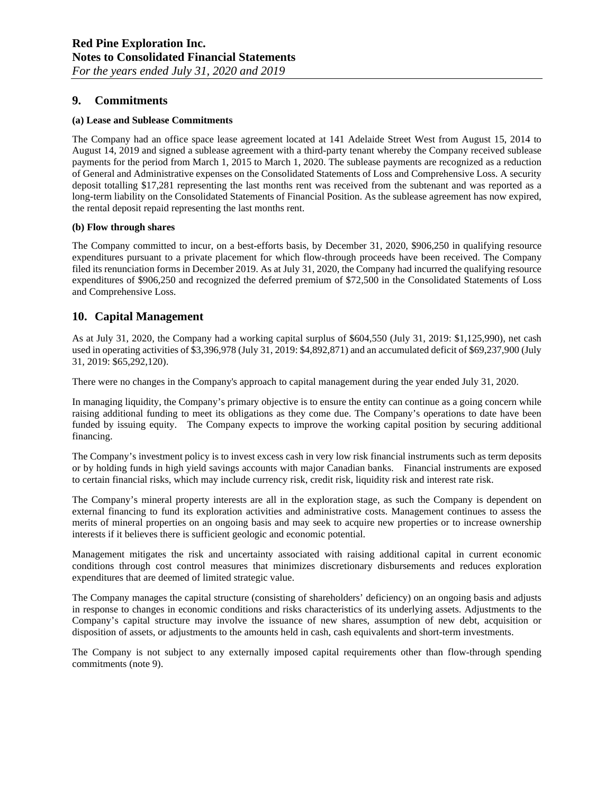# **9. Commitments**

# **(a) Lease and Sublease Commitments**

The Company had an office space lease agreement located at 141 Adelaide Street West from August 15, 2014 to August 14, 2019 and signed a sublease agreement with a third-party tenant whereby the Company received sublease payments for the period from March 1, 2015 to March 1, 2020. The sublease payments are recognized as a reduction of General and Administrative expenses on the Consolidated Statements of Loss and Comprehensive Loss. A security deposit totalling \$17,281 representing the last months rent was received from the subtenant and was reported as a long-term liability on the Consolidated Statements of Financial Position. As the sublease agreement has now expired, the rental deposit repaid representing the last months rent.

### **(b) Flow through shares**

The Company committed to incur, on a best-efforts basis, by December 31, 2020, \$906,250 in qualifying resource expenditures pursuant to a private placement for which flow-through proceeds have been received. The Company filed its renunciation forms in December 2019. As at July 31, 2020, the Company had incurred the qualifying resource expenditures of \$906,250 and recognized the deferred premium of \$72,500 in the Consolidated Statements of Loss and Comprehensive Loss.

# **10. Capital Management**

As at July 31, 2020, the Company had a working capital surplus of \$604,550 (July 31, 2019: \$1,125,990), net cash used in operating activities of \$3,396,978 (July 31, 2019: \$4,892,871) and an accumulated deficit of \$69,237,900 (July 31, 2019: \$65,292,120).

There were no changes in the Company's approach to capital management during the year ended July 31, 2020.

In managing liquidity, the Company's primary objective is to ensure the entity can continue as a going concern while raising additional funding to meet its obligations as they come due. The Company's operations to date have been funded by issuing equity. The Company expects to improve the working capital position by securing additional financing.

The Company's investment policy is to invest excess cash in very low risk financial instruments such as term deposits or by holding funds in high yield savings accounts with major Canadian banks. Financial instruments are exposed to certain financial risks, which may include currency risk, credit risk, liquidity risk and interest rate risk.

The Company's mineral property interests are all in the exploration stage, as such the Company is dependent on external financing to fund its exploration activities and administrative costs. Management continues to assess the merits of mineral properties on an ongoing basis and may seek to acquire new properties or to increase ownership interests if it believes there is sufficient geologic and economic potential.

Management mitigates the risk and uncertainty associated with raising additional capital in current economic conditions through cost control measures that minimizes discretionary disbursements and reduces exploration expenditures that are deemed of limited strategic value.

The Company manages the capital structure (consisting of shareholders' deficiency) on an ongoing basis and adjusts in response to changes in economic conditions and risks characteristics of its underlying assets. Adjustments to the Company's capital structure may involve the issuance of new shares, assumption of new debt, acquisition or disposition of assets, or adjustments to the amounts held in cash, cash equivalents and short-term investments.

The Company is not subject to any externally imposed capital requirements other than flow-through spending commitments (note 9).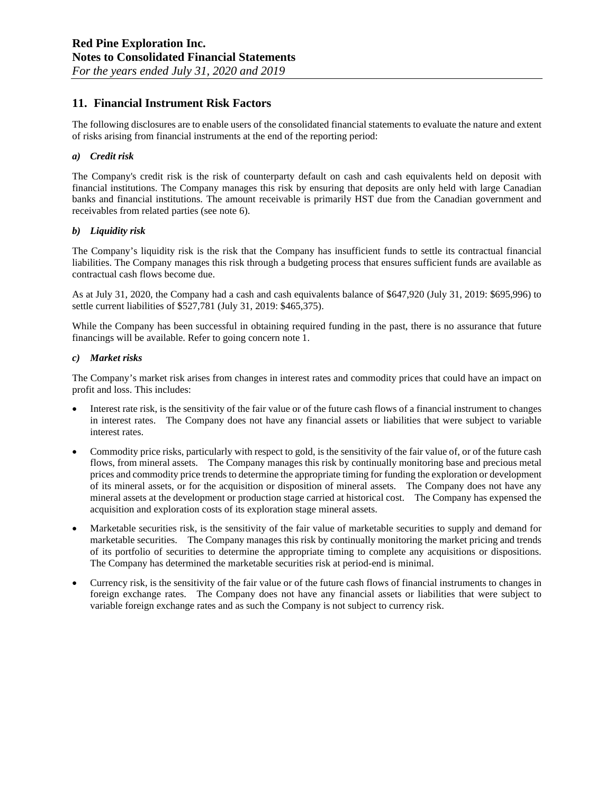# **11. Financial Instrument Risk Factors**

The following disclosures are to enable users of the consolidated financial statements to evaluate the nature and extent of risks arising from financial instruments at the end of the reporting period:

### *a) Credit risk*

The Company's credit risk is the risk of counterparty default on cash and cash equivalents held on deposit with financial institutions. The Company manages this risk by ensuring that deposits are only held with large Canadian banks and financial institutions. The amount receivable is primarily HST due from the Canadian government and receivables from related parties (see note 6).

# *b) Liquidity risk*

The Company's liquidity risk is the risk that the Company has insufficient funds to settle its contractual financial liabilities. The Company manages this risk through a budgeting process that ensures sufficient funds are available as contractual cash flows become due.

As at July 31, 2020, the Company had a cash and cash equivalents balance of \$647,920 (July 31, 2019: \$695,996) to settle current liabilities of \$527,781 (July 31, 2019: \$465,375).

While the Company has been successful in obtaining required funding in the past, there is no assurance that future financings will be available. Refer to going concern note 1.

### *c) Market risks*

The Company's market risk arises from changes in interest rates and commodity prices that could have an impact on profit and loss. This includes:

- Interest rate risk, is the sensitivity of the fair value or of the future cash flows of a financial instrument to changes in interest rates. The Company does not have any financial assets or liabilities that were subject to variable interest rates.
- Commodity price risks, particularly with respect to gold, is the sensitivity of the fair value of, or of the future cash flows, from mineral assets. The Company manages this risk by continually monitoring base and precious metal prices and commodity price trends to determine the appropriate timing for funding the exploration or development of its mineral assets, or for the acquisition or disposition of mineral assets. The Company does not have any mineral assets at the development or production stage carried at historical cost. The Company has expensed the acquisition and exploration costs of its exploration stage mineral assets.
- Marketable securities risk, is the sensitivity of the fair value of marketable securities to supply and demand for marketable securities. The Company manages this risk by continually monitoring the market pricing and trends of its portfolio of securities to determine the appropriate timing to complete any acquisitions or dispositions. The Company has determined the marketable securities risk at period-end is minimal.
- Currency risk, is the sensitivity of the fair value or of the future cash flows of financial instruments to changes in foreign exchange rates. The Company does not have any financial assets or liabilities that were subject to variable foreign exchange rates and as such the Company is not subject to currency risk.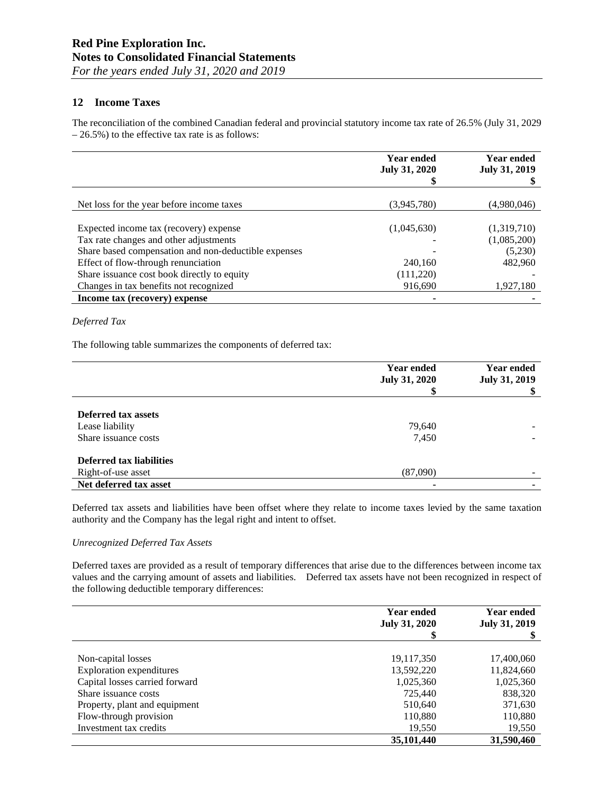# **12 Income Taxes**

The reconciliation of the combined Canadian federal and provincial statutory income tax rate of 26.5% (July 31, 2029  $-26.5\%$ ) to the effective tax rate is as follows:

|                                                      | <b>Year ended</b><br><b>July 31, 2020</b> | Year ended<br><b>July 31, 2019</b> |
|------------------------------------------------------|-------------------------------------------|------------------------------------|
| Net loss for the year before income taxes            | (3,945,780)                               | (4,980,046)                        |
|                                                      |                                           |                                    |
| Expected income tax (recovery) expense               | (1,045,630)                               | (1,319,710)                        |
| Tax rate changes and other adjustments               |                                           | (1,085,200)                        |
| Share based compensation and non-deductible expenses |                                           | (5,230)                            |
| Effect of flow-through renunciation                  | 240.160                                   | 482,960                            |
| Share issuance cost book directly to equity          | (111,220)                                 |                                    |
| Changes in tax benefits not recognized               | 916,690                                   | 1,927,180                          |
| Income tax (recovery) expense                        |                                           |                                    |

### *Deferred Tax*

The following table summarizes the components of deferred tax:

|                                                                       | <b>Year ended</b><br><b>July 31, 2020</b> | <b>Year ended</b><br><b>July 31, 2019</b> |
|-----------------------------------------------------------------------|-------------------------------------------|-------------------------------------------|
|                                                                       |                                           |                                           |
| <b>Deferred tax assets</b><br>Lease liability<br>Share issuance costs | 79,640<br>7,450                           |                                           |
| Deferred tax liabilities                                              |                                           |                                           |
| Right-of-use asset                                                    | (87,090)                                  |                                           |
| Net deferred tax asset                                                |                                           |                                           |

Deferred tax assets and liabilities have been offset where they relate to income taxes levied by the same taxation authority and the Company has the legal right and intent to offset.

#### *Unrecognized Deferred Tax Assets*

Deferred taxes are provided as a result of temporary differences that arise due to the differences between income tax values and the carrying amount of assets and liabilities. Deferred tax assets have not been recognized in respect of the following deductible temporary differences:

|                                 | Year ended<br><b>July 31, 2020</b> | <b>Year ended</b><br><b>July 31, 2019</b> |  |
|---------------------------------|------------------------------------|-------------------------------------------|--|
|                                 |                                    |                                           |  |
| Non-capital losses              | 19, 117, 350                       | 17,400,060                                |  |
| <b>Exploration expenditures</b> | 13,592,220                         | 11,824,660                                |  |
| Capital losses carried forward  | 1,025,360                          | 1,025,360                                 |  |
| Share issuance costs            | 725,440                            | 838,320                                   |  |
| Property, plant and equipment   | 510,640                            | 371,630                                   |  |
| Flow-through provision          | 110,880                            | 110,880                                   |  |
| Investment tax credits          | 19,550                             | 19,550                                    |  |
|                                 | 35,101,440                         | 31,590,460                                |  |